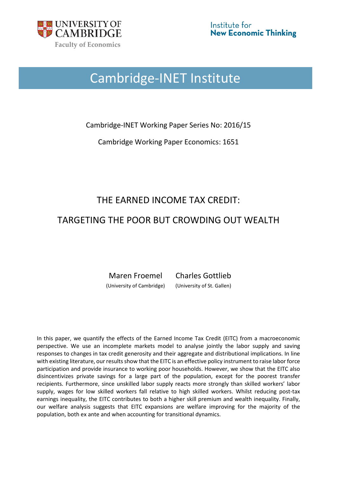

# Cambridge-INET Institute

Cambridge-INET Working Paper Series No: 2016/15

Cambridge Working Paper Economics: 1651

# THE EARNED INCOME TAX CREDIT:

# TARGETING THE POOR BUT CROWDING OUT WEALTH

Maren Froemel Charles Gottlieb (University of Cambridge) (University of St. Gallen)

In this paper, we quantify the effects of the Earned Income Tax Credit (EITC) from a macroeconomic perspective. We use an incomplete markets model to analyse jointly the labor supply and saving responses to changes in tax credit generosity and their aggregate and distributional implications. In line with existing literature, our results show that the EITC is an effective policy instrument to raise labor force participation and provide insurance to working poor households. However, we show that the EITC also disincentivizes private savings for a large part of the population, except for the poorest transfer recipients. Furthermore, since unskilled labor supply reacts more strongly than skilled workers' labor supply, wages for low skilled workers fall relative to high skilled workers. Whilst reducing post-tax earnings inequality, the EITC contributes to both a higher skill premium and wealth inequality. Finally, our welfare analysis suggests that EITC expansions are welfare improving for the majority of the population, both ex ante and when accounting for transitional dynamics.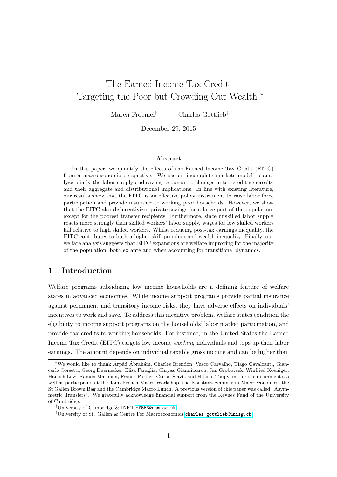# The Earned Income Tax Credit: Targeting the Poor but Crowding Out Wealth <sup>∗</sup>

Maren Froemel† Charles Gottlieb‡

December 29, 2015

#### Abstract

In this paper, we quantify the effects of the Earned Income Tax Credit (EITC) from a macroeconomic perspective. We use an incomplete markets model to analyze jointly the labor supply and saving responses to changes in tax credit generosity and their aggregate and distributional implications. In line with existing literature, our results show that the EITC is an effective policy instrument to raise labor force participation and provide insurance to working poor households. However, we show that the EITC also disincentivizes private savings for a large part of the population, except for the poorest transfer recipients. Furthermore, since unskilled labor supply reacts more strongly than skilled workers' labor supply, wages for low skilled workers fall relative to high skilled workers. Whilst reducing post-tax earnings inequality, the EITC contributes to both a higher skill premium and wealth inequality. Finally, our welfare analysis suggests that EITC expansions are welfare improving for the majority of the population, both ex ante and when accounting for transitional dynamics.

## 1 Introduction

Welfare programs subsidizing low income households are a defining feature of welfare states in advanced economies. While income support programs provide partial insurance against permanent and transitory income risks, they have adverse effects on individuals' incentives to work and save. To address this incentive problem, welfare states condition the eligibility to income support programs on the households' labor market participation, and provide tax credits to working households. For instance, in the United States the Earned Income Tax Credit (EITC) targets low income working individuals and tops up their labor earnings. The amount depends on individual taxable gross income and can be higher than

<sup>\*</sup>We would like to thank Arpád Ábrahám, Charles Brendon, Vasco Carvalho, Tiago Cavalcanti, Giancarlo Corsetti, Georg Duernecker, Elisa Faraglia, Chryssi Giannitsarou, Jan Grobovšek, Winfried Koeniger, Hamish Low, Ramon Marimon, Franck Portier, Ctirad Slavík and Hitoshi Tsujiyama for their comments as well as participants at the Joint French Macro Workshop, the Konstanz Seminar in Macroeconomics, the St Gallen Brown Bag and the Cambridge Macro Lunch. A previous version of this paper was called "Asymmetric Transfers". We gratefully acknowledge financial support from the Keynes Fund of the University of Cambridge.

<sup>†</sup>University of Cambridge & INET <mf563@cam.ac.uk>

<sup>‡</sup>University of St. Gallen & Centre For Macroeconomics <charles.gottlieb@unisg.ch>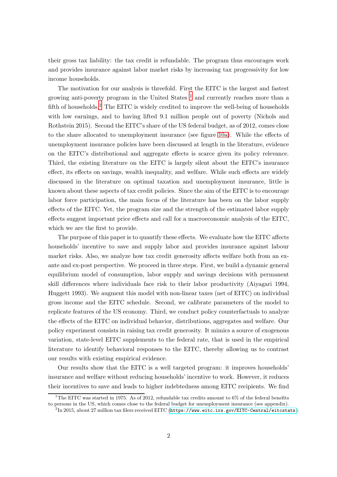their gross tax liability: the tax credit is refundable. The program thus encourages work and provides insurance against labor market risks by increasing tax progressivity for low income households.

The motivation for our analysis is threefold. First the EITC is the largest and fastest growing anti-poverty program in the United States  $^1$  and currently reaches more than a fifth of households.<sup>2</sup> The EITC is widely credited to improve the well-being of households with low earnings, and to having lifted 9.1 million people out of poverty (Nichols and Rothstein 2015). Second the EITC's share of the US federal budget, as of 2012, comes close to the share allocated to unemployment insurance (see figure [10a\)](#page-35-0). While the effects of unemployment insurance policies have been discussed at length in the literature, evidence on the EITC's distributional and aggregate effects is scarce given its policy relevance. Third, the existing literature on the EITC is largely silent about the EITC's insurance effect, its effects on savings, wealth inequality, and welfare. While such effects are widely discussed in the literature on optimal taxation and unemployment insurance, little is known about these aspects of tax credit policies. Since the aim of the EITC is to encourage labor force participation, the main focus of the literature has been on the labor supply effects of the EITC. Yet, the program size and the strength of the estimated labor supply effects suggest important price effects and call for a macroeconomic analysis of the EITC, which we are the first to provide.

The purpose of this paper is to quantify these effects. We evaluate how the EITC affects households' incentive to save and supply labor and provides insurance against labour market risks. Also, we analyze how tax credit generosity affects welfare both from an exante and ex-post perspective. We proceed in three steps. First, we build a dynamic general equilibrium model of consumption, labor supply and savings decisions with permanent skill differences where individuals face risk to their labor productivity (Aiyagari 1994, Huggett 1993). We augment this model with non-linear taxes (net of EITC) on individual gross income and the EITC schedule. Second, we calibrate parameters of the model to replicate features of the US economy. Third, we conduct policy counterfactuals to analyze the effects of the EITC on individual behavior, distributions, aggregates and welfare. Our policy experiment consists in raising tax credit generosity. It mimics a source of exogenous variation, state-level EITC supplements to the federal rate, that is used in the empirical literature to identify behavioral responses to the EITC, thereby allowing us to contrast our results with existing empirical evidence.

Our results show that the EITC is a well targeted program: it improves households' insurance and welfare without reducing households' incentive to work. However, it reduces their incentives to save and leads to higher indebtedness among EITC recipients. We find

<sup>&</sup>lt;sup>1</sup>The EITC was started in 1975. As of 2012, refundable tax credits amount to 6% of the federal benefits to persons in the US, which comes close to the federal budget for unemployment insurance (see appendix).

 $^2$ In 2015, about 27 million tax filers received EITC (<code><https://www.eitc.irs.gov/EITC-Central/eitcstats></code> ).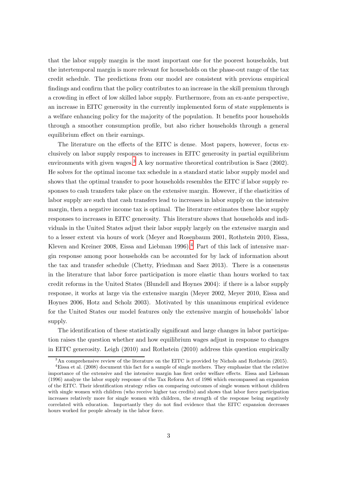that the labor supply margin is the most important one for the poorest households, but the intertemporal margin is more relevant for households on the phase-out range of the tax credit schedule. The predictions from our model are consistent with previous empirical findings and confirm that the policy contributes to an increase in the skill premium through a crowding in effect of low skilled labor supply. Furthermore, from an ex-ante perspective, an increase in EITC generosity in the currently implemented form of state supplements is a welfare enhancing policy for the majority of the population. It benefits poor households through a smoother consumption profile, but also richer households through a general equilibrium effect on their earnings.

The literature on the effects of the EITC is dense. Most papers, however, focus exclusively on labor supply responses to increases in EITC generosity in partial equilibrium environments with given wages.<sup>3</sup> A key normative theoretical contribution is Saez  $(2002)$ . He solves for the optimal income tax schedule in a standard static labor supply model and shows that the optimal transfer to poor households resembles the EITC if labor supply responses to cash transfers take place on the extensive margin. However, if the elasticities of labor supply are such that cash transfers lead to increases in labor supply on the intensive margin, then a negative income tax is optimal. The literature estimates these labor supply responses to increases in EITC generosity. This literature shows that households and individuals in the United States adjust their labor supply largely on the extensive margin and to a lesser extent via hours of work (Meyer and Rosenbaum 2001, Rothstein 2010, Eissa, Kleven and Kreiner 2008, Eissa and Liebman 1996).<sup>4</sup> Part of this lack of intensive margin response among poor households can be accounted for by lack of information about the tax and transfer schedule (Chetty, Friedman and Saez 2013). There is a consensus in the literature that labor force participation is more elastic than hours worked to tax credit reforms in the United States (Blundell and Hoynes 2004): if there is a labor supply response, it works at large via the extensive margin (Meyer 2002, Meyer 2010, Eissa and Hoynes 2006, Hotz and Scholz 2003). Motivated by this unanimous empirical evidence for the United States our model features only the extensive margin of households' labor supply.

The identification of these statistically significant and large changes in labor participation raises the question whether and how equilibrium wages adjust in response to changes in EITC generosity. Leigh (2010) and Rothstein (2010) address this question empirically

 $3<sup>3</sup>$ An comprehensive review of the literature on the EITC is provided by Nichols and Rothstein (2015).

<sup>4</sup>Eissa et al. (2008) document this fact for a sample of single mothers. They emphasize that the relative importance of the extensive and the intensive margin has first order welfare effects. Eissa and Liebman (1996) analyze the labor supply response of the Tax Reform Act of 1986 which encompassed an expansion of the EITC. Their identification strategy relies on comparing outcomes of single women without children with single women with children (who receive higher tax credits) and shows that labor force participation increases relatively more for single women with children, the strength of the response being negatively correlated with education. Importantly they do not find evidence that the EITC expansion decreases hours worked for people already in the labor force.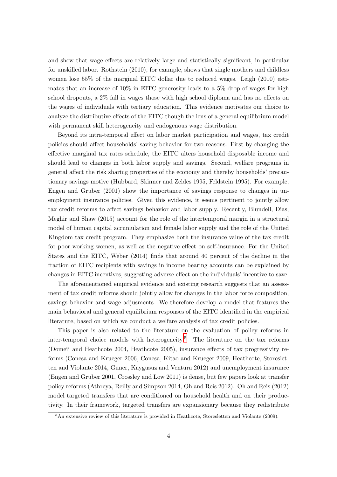and show that wage effects are relatively large and statistically significant, in particular for unskilled labor. Rothstein (2010), for example, shows that single mothers and childless women lose 55% of the marginal EITC dollar due to reduced wages. Leigh (2010) estimates that an increase of 10% in EITC generosity leads to a 5% drop of wages for high school dropouts, a 2% fall in wages those with high school diploma and has no effects on the wages of individuals with tertiary education. This evidence motivates our choice to analyze the distributive effects of the EITC though the lens of a general equilibrium model with permanent skill heterogeneity and endogenous wage distribution.

Beyond its intra-temporal effect on labor market participation and wages, tax credit policies should affect households' saving behavior for two reasons. First by changing the effective marginal tax rates schedule, the EITC alters household disposable income and should lead to changes in both labor supply and savings. Second, welfare programs in general affect the risk sharing properties of the economy and thereby households' precautionary savings motive (Hubbard, Skinner and Zeldes 1995, Feldstein 1995). For example, Engen and Gruber (2001) show the importance of savings response to changes in unemployment insurance policies. Given this evidence, it seems pertinent to jointly allow tax credit reforms to affect savings behavior and labor supply. Recently, Blundell, Dias, Meghir and Shaw (2015) account for the role of the intertemporal margin in a structural model of human capital accumulation and female labor supply and the role of the United Kingdom tax credit program. They emphasize both the insurance value of the tax credit for poor working women, as well as the negative effect on self-insurance. For the United States and the EITC, Weber (2014) finds that around 40 percent of the decline in the fraction of EITC recipients with savings in income bearing accounts can be explained by changes in EITC incentives, suggesting adverse effect on the individuals' incentive to save.

The aforementioned empirical evidence and existing research suggests that an assessment of tax credit reforms should jointly allow for changes in the labor force composition, savings behavior and wage adjusments. We therefore develop a model that features the main behavioral and general equilibrium responses of the EITC identified in the empirical literature, based on which we conduct a welfare analysis of tax credit policies.

This paper is also related to the literature on the evaluation of policy reforms in inter-temporal choice models with heterogeneity.<sup>5</sup> The literature on the tax reforms (Domeij and Heathcote 2004, Heathcote 2005), insurance effects of tax progressivity reforms (Conesa and Krueger 2006, Conesa, Kitao and Krueger 2009, Heathcote, Storesletten and Violante 2014, Guner, Kaygusuz and Ventura 2012) and unemployment insurance (Engen and Gruber 2001, Crossley and Low 2011) is dense, but few papers look at transfer policy reforms (Athreya, Reilly and Simpson 2014, Oh and Reis 2012). Oh and Reis (2012) model targeted transfers that are conditioned on household health and on their productivity. In their framework, targeted transfers are expansionary because they redistribute

 $5\text{An extensive review of this literature is provided in Heathcote, Storesletten and Violante (2009).}$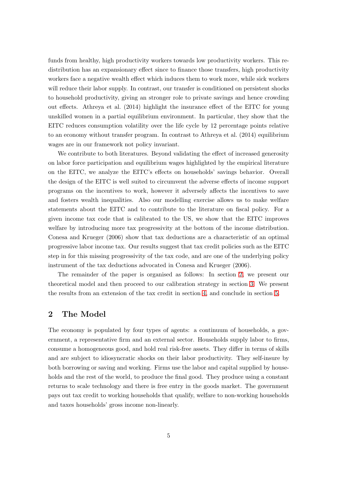funds from healthy, high productivity workers towards low productivity workers. This redistribution has an expansionary effect since to finance those transfers, high productivity workers face a negative wealth effect which induces them to work more, while sick workers will reduce their labor supply. In contrast, our transfer is conditioned on persistent shocks to household productivity, giving an stronger role to private savings and hence crowding out effects. Athreya et al. (2014) highlight the insurance effect of the EITC for young unskilled women in a partial equilibrium environment. In particular, they show that the EITC reduces consumption volatility over the life cycle by 12 percentage points relative to an economy without transfer program. In contrast to Athreya et al. (2014) equilibrium wages are in our framework not policy invariant.

We contribute to both literatures. Beyond validating the effect of increased generosity on labor force participation and equilibrium wages highlighted by the empirical literature on the EITC, we analyze the EITC's effects on households' savings behavior. Overall the design of the EITC is well suited to circumvent the adverse effects of income support programs on the incentives to work, however it adversely affects the incentives to save and fosters wealth inequalities. Also our modelling exercise allows us to make welfare statements about the EITC and to contribute to the literature on fiscal policy. For a given income tax code that is calibrated to the US, we show that the EITC improves welfare by introducing more tax progressivity at the bottom of the income distribution. Conesa and Krueger (2006) show that tax deductions are a characteristic of an optimal progressive labor income tax. Our results suggest that tax credit policies such as the EITC step in for this missing progressivity of the tax code, and are one of the underlying policy instrument of the tax deductions advocated in Conesa and Krueger (2006).

The remainder of the paper is organised as follows: In section [2,](#page-5-0) we present our theoretical model and then proceed to our calibration strategy in section [3.](#page-12-0) We present the results from an extension of the tax credit in section [4,](#page-17-0) and conclude in section [5.](#page-30-0)

#### <span id="page-5-0"></span>2 The Model

The economy is populated by four types of agents: a continuum of households, a government, a representative firm and an external sector. Households supply labor to firms, consume a homogeneous good, and hold real risk-free assets. They differ in terms of skills and are subject to idiosyncratic shocks on their labor productivity. They self-insure by both borrowing or saving and working. Firms use the labor and capital supplied by households and the rest of the world, to produce the final good. They produce using a constant returns to scale technology and there is free entry in the goods market. The government pays out tax credit to working households that qualify, welfare to non-working households and taxes households' gross income non-linearly.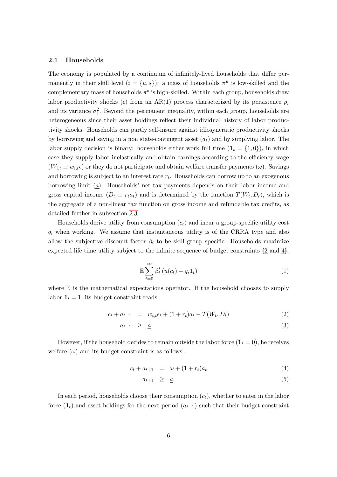#### 2.1 Households

The economy is populated by a continuum of infinitely-lived households that differ permanently in their skill level  $(i = \{u, s\})$ : a mass of households  $\pi^u$  is low-skilled and the complementary mass of households  $\pi^s$  is high-skilled. Within each group, households draw labor productivity shocks ( $\epsilon$ ) from an AR(1) process characterized by its persistence  $\rho_i$ and its variance  $\sigma_i^2$ . Beyond the permanent inequality, within each group, households are heterogeneous since their asset holdings reflect their individual history of labor productivity shocks. Households can partly self-insure against idiosyncratic productivity shocks by borrowing and saving in a non state-contingent asset  $(a_t)$  and by supplying labor. The labor supply decision is binary: households either work full time  $(1<sub>t</sub> = \{1,0\})$ , in which case they supply labor inelastically and obtain earnings according to the efficiency wage  $(W_{i,t} \equiv w_{i,t} \epsilon)$  or they do not participate and obtain welfare transfer payments  $(\omega)$ . Savings and borrowing is subject to an interest rate  $r_t$ . Households can borrow up to an exogenous borrowing limit  $(a)$ . Households' net tax payments depends on their labor income and gross capital income  $(D_t \equiv r_t a_t)$  and is determined by the function  $T(W_t, D_t)$ , which is the aggregate of a non-linear tax function on gross income and refundable tax credits, as detailed further in subsection [2.3.](#page-8-0)

Households derive utility from consumption  $(c<sub>t</sub>)$  and incur a group-specific utility cost  $q_i$  when working. We assume that instantaneous utility is of the CRRA type and also allow the subjective discount factor  $\beta_i$  to be skill group specific. Households maximize expected life time utility subject to the infinite sequence of budget constraints [\(2](#page-6-0) and [4\)](#page-6-1).

$$
\mathbb{E}\sum_{t=0}^{\infty}\beta_i^t\left(u(c_t)-q_i\mathbf{1}_t\right) \tag{1}
$$

where  $E$  is the mathematical expectations operator. If the household chooses to supply labor  $\mathbf{1}_t = 1$ , its budget constraint reads:

<span id="page-6-0"></span>
$$
c_t + a_{t+1} = w_{i,t} \epsilon_t + (1 + r_t) a_t - T(W_t, D_t)
$$
\n(2)

$$
a_{t+1} \geq \underline{a} \tag{3}
$$

However, if the household decides to remain outside the labor force  $(1<sub>t</sub> = 0)$ , he receives welfare  $(\omega)$  and its budget constraint is as follows:

<span id="page-6-1"></span>
$$
c_t + a_{t+1} = \omega + (1 + r_t)a_t \tag{4}
$$

$$
a_{t+1} \geq \underline{a}.\tag{5}
$$

In each period, households choose their consumption  $(c_t)$ , whether to enter in the labor force  $(1<sub>t</sub>)$  and asset holdings for the next period  $(a<sub>t+1</sub>)$  such that their budget constraint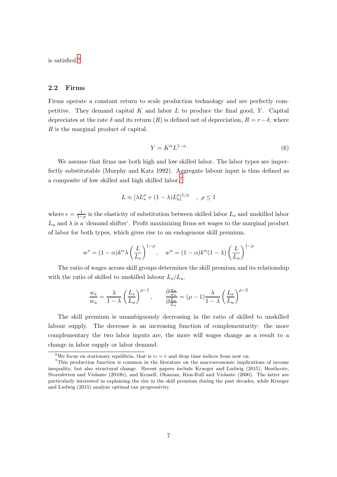is satisfied.<sup>6</sup>

#### <span id="page-7-0"></span>2.2 Firms

Firms operate a constant return to scale production technology and are perfectly competitive. They demand capital  $K$  and labor  $L$  to produce the final good,  $Y$ . Capital depreciates at the rate  $\delta$  and its return  $(R)$  is defined net of depreciation,  $R = r - \delta$ , where R is the marginal product of capital.

$$
Y = K^{\alpha} L^{1-\alpha} \tag{6}
$$

We assume that firms use both high and low skilled labor. The labor types are imperfectly substitutable (Murphy and Katz 1992). Aggregate labour input is thus defined as a composite of low skilled and high skilled labor.<sup>7</sup>

$$
L \equiv \left[\lambda L_s^{\rho} + (1 - \lambda)L_u^{\rho}\right]^{1/\rho} \quad , \ \rho \le 1
$$

where  $\epsilon = \frac{1}{1-\rho}$  is the elasticity of substitution between skilled labor  $L_s$  and unskilled labor  $L_u$  and  $\lambda$  is a 'demand shifter'. Profit maximizing firms set wages to the marginal product of labor for both types, which gives rise to an endogenous skill premium.

$$
w^{s} = (1 - \alpha)k^{\alpha} \lambda \left(\frac{L}{L_{s}}\right)^{1-\rho}, \quad w^{u} = (1 - \alpha)k^{\alpha}(1 - \lambda) \left(\frac{L}{L_{u}}\right)^{1-\rho}
$$

The ratio of wages across skill groups determines the skill premium and its relationship with the ratio of skilled to unskilled labour  $L_s/L_u$ .

$$
\frac{w_s}{w_u} = \frac{\lambda}{1-\lambda} \left(\frac{L_s}{L_u}\right)^{\rho-1}, \qquad \frac{\partial \frac{w_s}{w_u}}{\partial \frac{L_s}{L_u}} = (\rho-1)\frac{\lambda}{1-\lambda} \left(\frac{L_s}{L_u}\right)^{\rho-2}
$$

The skill premium is unambiguously decreasing in the ratio of skilled to unskilled labour supply. The decrease is an increasing function of complementarity: the more complementary the two labor inputs are, the more will wages change as a result to a change in labor supply or labor demand.

<sup>&</sup>lt;sup>6</sup>We focus on stationary equilibria, that is  $r_t = r$  and drop time indices from now on.

<sup>7</sup>This production function is common in the literature on the macroeconomic implications of income inequality, but also structural change. Recent papers include Krueger and Ludwig (2015), Heathcote, Storesletten and Violante (2010b), and Krusell, Ohanian, Rios-Rull and Violante (2000). The latter are particularly interested in explaining the rise in the skill premium during the past decades, while Krueger and Ludwig (2015) analyze optimal tax progressivity.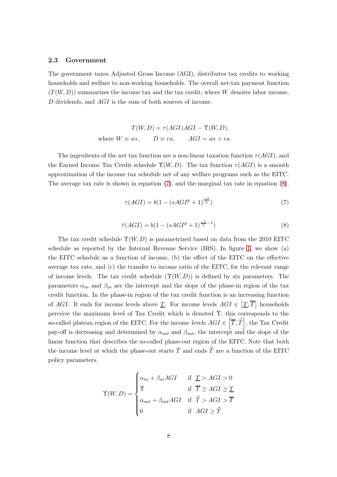#### <span id="page-8-0"></span>2.3 Government

The government taxes Adjusted Gross Income (AGI), distributes tax credits to working households and welfare to non-working households. The overall net-tax payment function  $(T(W, D))$  summarizes the income tax and the tax credit, where W denotes labor income, D dividends, and AGI is the sum of both sources of income.

$$
T(W, D) = \tau(AGI)AGI - \Upsilon(W, D),
$$
  
where  $W \equiv w\epsilon$ ,  $D \equiv ra$ ,  $AGI = w\epsilon + ra$ 

<span id="page-8-1"></span>The ingredients of the net tax function are a non-linear taxation function  $\tau(AGI)$ , and the Earned Income Tax Credit schedule  $\Upsilon(W, D)$ . The tax function  $\tau(AGI)$  is a smooth approximation of the income tax schedule net of any welfare programs such as the EITC. The average tax rate is shown in equation [\(7\)](#page-8-1), and the marginal tax rate in equation [\(8\)](#page-8-2).

$$
\tau(AGI) = b(1 - (sAGI^{p} + 1)^{\frac{-1}{p}})
$$
\n(7)

$$
\tilde{\tau}(AGI) = b(1 - (sAGI^{p} + 1)^{\frac{-1}{p} - 1})
$$
\n(8)

<span id="page-8-2"></span>The tax credit schedule  $\Upsilon(W, D)$  is parametrized based on data from the 2010 EITC schedule as reported by the Internal Revenue Service (IRS). In figure [1,](#page-9-0) we show (a) the EITC schedule as a function of income, (b) the effect of the EITC on the effective average tax rate, and (c) the transfer to income ratio of the EITC, for the relevant range of income levels. The tax credit schedule  $(\Upsilon(W, D))$  is defined by six parameters. The parameters  $\alpha_{in}$  and  $\beta_{in}$  are the intercept and the slope of the phase-in region of the tax credit function. In the phase-in region of the tax credit function is an increasing function of AGI. It ends for income levels above  $\underline{T}$ . For income levels  $AGI \in [\underline{T}, \overline{T}]$  households perceive the maximum level of Tax Credit which is denoted  $\tilde{\Upsilon}$ ; this corresponds to the so-called plateau region of the EITC. For the income levels  $AGI \in \left[ \overline{T}, \widehat{T} \right]$ , the Tax Credit pay-off is decreasing and determined by  $\alpha_{out}$  and  $\beta_{out}$ , the intercept and the slope of the linear function that describes the so-called phase-out region of the EITC. Note that both the income level at which the phase-out starts  $\overline{T}$  and ends  $\widehat{T}$  are a function of the EITC policy parameters.

$$
\Upsilon(W, D) = \begin{cases} \alpha_{in} + \beta_{in} AGI & \text{if } \underline{T} > AGI > 0 \\ \bar{\Upsilon} & \text{if } \overline{T} \ge AGI \ge \underline{T} \\ \alpha_{out} + \beta_{out} AGI & \text{if } \widehat{T} > AGI > \overline{T} \\ 0 & \text{if } AGI \ge \widehat{T} \end{cases}
$$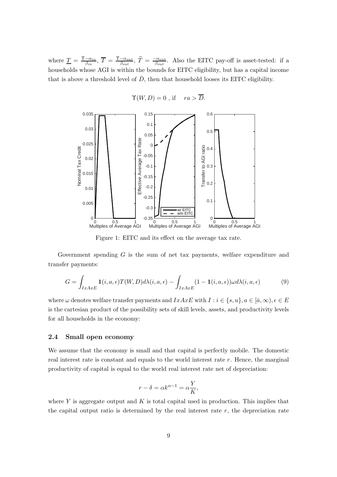where  $\underline{T} = \frac{\bar{T} - \alpha_{in}}{\beta_{in}}$  $\frac{-\alpha_{in}}{\beta_{in}},\ \overline{T}=\ \frac{\bar{\Upsilon}-\alpha_{out}}{\beta_{out}}$  $\frac{-\alpha_{out}}{\beta_{out}},\ \widehat{T}=\frac{-\alpha_{out}}{\beta_{out}}$  $\frac{c_{\alpha_{out}}}{\beta_{out}}$ . Also the EITC pay-off is asset-tested: if a households whose AGI is within the bounds for EITC eligibility, but has a capital income that is above a threshold level of  $\bar{D}$ , then that household looses its EITC eligibility.

<span id="page-9-0"></span>

$$
\Upsilon(W,D) = 0 \text{ , if } \quad ra > D.
$$

Figure 1: EITC and its effect on the average tax rate.

Government spending G is the sum of net tax payments, welfare expenditure and transfer payments:

<span id="page-9-1"></span>
$$
G = \int_{IxAxE} \mathbf{1}(i, a, \epsilon) T(W, D) d\lambda(i, a, \epsilon) - \int_{IxAxE} (1 - \mathbf{1}(i, a, \epsilon)) \omega d\lambda(i, a, \epsilon)
$$
(9)

where  $\omega$  denotes welfare transfer payments and  $IxAxE$  with  $I : i \in \{s, u\}, a \in [\bar{a}, \infty), \epsilon \in E$ is the cartesian product of the possibility sets of skill levels, assets, and productivity levels for all households in the economy:

#### 2.4 Small open economy

We assume that the economy is small and that capital is perfectly mobile. The domestic real interest rate is constant and equals to the world interest rate  $r$ . Hence, the marginal productivity of capital is equal to the world real interest rate net of depreciation:

$$
r - \delta = \alpha k^{\alpha - 1} = \alpha \frac{Y}{K},
$$

where Y is aggregate output and K is total capital used in production. This implies that the capital output ratio is determined by the real interest rate  $r$ , the depreciation rate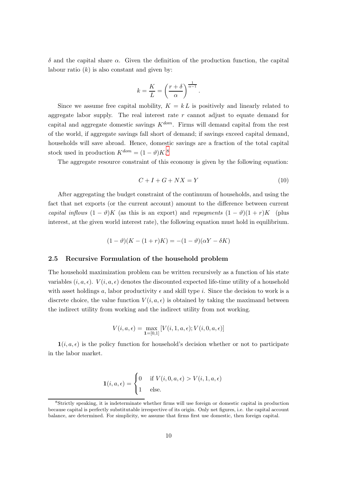δ and the capital share α. Given the definition of the production function, the capital labour ratio  $(k)$  is also constant and given by:

$$
k = \frac{K}{L} = \left(\frac{r+\delta}{\alpha}\right)^{\frac{1}{\alpha-1}}.
$$

Since we assume free capital mobility,  $K = kL$  is positively and linearly related to aggregate labor supply. The real interest rate  $r$  cannot adjust to equate demand for capital and aggregate domestic savings  $K^{dom}$ . Firms will demand capital from the rest of the world, if aggregate savings fall short of demand; if savings exceed capital demand, households will save abroad. Hence, domestic savings are a fraction of the total capital stock used in production  $K^{dom} = (1 - \vartheta)K$ .<sup>8</sup>

The aggregate resource constraint of this economy is given by the following equation:

$$
C + I + G + NX = Y \tag{10}
$$

After aggregating the budget constraint of the continuum of households, and using the fact that net exports (or the current account) amount to the difference between current capital inflows  $(1 - \vartheta)K$  (as this is an export) and repayments  $(1 - \vartheta)(1 + r)K$  (plus interest, at the given world interest rate), the following equation must hold in equilibrium.

$$
(1 - \vartheta)(K - (1 + r)K) = -(1 - \vartheta)(\alpha Y - \delta K)
$$

#### <span id="page-10-0"></span>2.5 Recursive Formulation of the household problem

The household maximization problem can be written recursively as a function of his state variables  $(i, a, \epsilon)$ .  $V(i, a, \epsilon)$  denotes the discounted expected life-time utility of a household with asset holdings a, labor productivity  $\epsilon$  and skill type i. Since the decision to work is a discrete choice, the value function  $V(i, a, \epsilon)$  is obtained by taking the maximand between the indirect utility from working and the indirect utility from not working.

$$
V(i, a, \epsilon) = \max_{\mathbf{1} = [0,1]} [V(i, 1, a, \epsilon); V(i, 0, a, \epsilon)]
$$

 $\mathbf{1}(i, a, \epsilon)$  is the policy function for household's decision whether or not to participate in the labor market.

$$
\mathbf{1}(i, a, \epsilon) = \begin{cases} 0 & \text{if } V(i, 0, a, \epsilon) > V(i, 1, a, \epsilon) \\ 1 & \text{else.} \end{cases}
$$

<sup>8</sup> Strictly speaking, it is indeterminate whether firms will use foreign or domestic capital in production because capital is perfectly substitutable irrespective of its origin. Only net figures, i.e. the capital account balance, are determined. For simplicity, we assume that firms first use domestic, then foreign capital.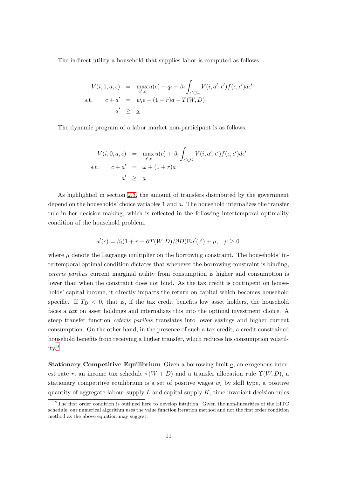The indirect utility a household that supplies labor is computed as follows.

$$
V(i, 1, a, \epsilon) = \max_{a', c} u(c) - q_i + \beta_i \int_{\epsilon' \in \Omega} V(i, a', \epsilon') f(\epsilon, \epsilon') d\epsilon'
$$
  
s.t. 
$$
c + a' = w_i \epsilon + (1 + r)a - T(W, D)
$$

$$
a' \geq \underline{a}
$$

The dynamic program of a labor market non-participant is as follows.

$$
V(i, 0, a, \epsilon) = \max_{a', c} u(c) + \beta_i \int_{\epsilon' \in \Omega} V(i, a', \epsilon') f(\epsilon, \epsilon') d\epsilon'
$$
  
s.t. 
$$
c + a' = \omega + (1 + r)a
$$

$$
a' \geq \underline{a}
$$

As highlighted in section [2.3,](#page-8-0) the amount of transfers distributed by the government depend on the households' choice variables  $1$  and  $a$ . The household internalizes the transfer rule in her decision-making, which is reflected in the following intertemporal optimality condition of the household problem.

$$
u'(c) = \beta_i(1+r - \partial T(W,D)/\partial D)\mathbb{E}u'(c') + \mu, \quad \mu \ge 0.
$$

where  $\mu$  denote the Lagrange multiplier on the borrowing constraint. The households' intertemporal optimal condition dictates that whenever the borrowing constraint is binding, ceteris paribus current marginal utility from consumption is higher and consumption is lower than when the constraint does not bind. As the tax credit is contingent on households' capital income, it directly impacts the return on capital which becomes household specific. If  $T_D < 0$ , that is, if the tax credit benefits low asset holders, the household faces a tax on asset holdings and internalizes this into the optimal investment choice. A steep transfer function ceteris paribus translates into lower savings and higher current consumption. On the other hand, in the presence of such a tax credit, a credit constrained household benefits from receiving a higher transfer, which reduces his consumption volatility.<sup>9</sup>

**Stationary Competitive Equilibrium** Given a borrowing limit  $\underline{a}$ , an exogenous interest rate r, an income tax schedule  $\tau(W+D)$  and a transfer allocation rule  $\Upsilon(W, D)$ , a stationary competitive equilibrium is a set of positive wages  $w_i$  by skill type, a positive quantity of aggregate labour supply  $L$  and capital supply  $K$ , time invariant decision rules

 $9^9$ The first order condition is outlined here to develop intuition. Given the non-linearities of the EITC schedule, our numerical algorithm uses the value function iteration method and not the first order condition method as the above equation may suggest.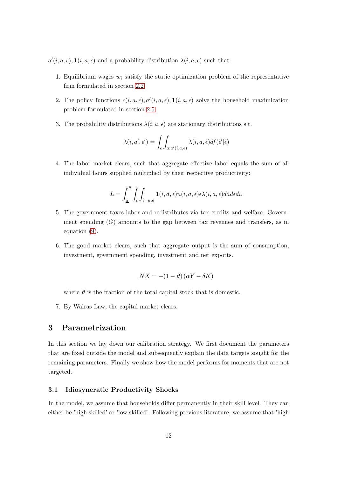$a'(i, a, \epsilon)$ ,  $\mathbf{1}(i, a, \epsilon)$  and a probability distribution  $\lambda(i, a, \epsilon)$  such that:

- 1. Equilibrium wages  $w_i$  satisfy the static optimization problem of the representative firm formulated in section [2.2](#page-7-0)
- 2. The policy functions  $c(i, a, \epsilon), a'(i, a, \epsilon), \mathbf{1}(i, a, \epsilon)$  solve the household maximization problem formulated in section [2.5](#page-10-0)
- 3. The probability distributions  $\lambda(i, a, \epsilon)$  are stationary distributions s.t.

$$
\lambda(i, a', \epsilon') = \int_{\epsilon} \int_{a:a'(i,a,\epsilon)} \lambda(i, a, \tilde{\epsilon}) df(\tilde{\epsilon}' | \tilde{\epsilon})
$$

4. The labor market clears, such that aggregate effective labor equals the sum of all individual hours supplied multiplied by their respective productivity:

$$
L = \int_{\underline{a}}^{\overline{a}} \int_{\epsilon} \int_{i=u,e} \mathbf{1}(i,\tilde{a},\tilde{\epsilon}) n(i,\tilde{a},\tilde{\epsilon}) \epsilon \lambda(i,a,\tilde{\epsilon}) d\tilde{a} d\tilde{\epsilon} di.
$$

- 5. The government taxes labor and redistributes via tax credits and welfare. Government spending  $(G)$  amounts to the gap between tax revenues and transfers, as in equation [\(9\)](#page-9-1).
- 6. The good market clears, such that aggregate output is the sum of consumption, investment, government spending, investment and net exports.

$$
NX = -(1 - \vartheta)(\alpha Y - \delta K)
$$

where  $\vartheta$  is the fraction of the total capital stock that is domestic.

<span id="page-12-0"></span>7. By Walras Law, the capital market clears.

# 3 Parametrization

In this section we lay down our calibration strategy. We first document the parameters that are fixed outside the model and subsequently explain the data targets sought for the remaining parameters. Finally we show how the model performs for moments that are not targeted.

#### 3.1 Idiosyncratic Productivity Shocks

In the model, we assume that households differ permanently in their skill level. They can either be 'high skilled' or 'low skilled'. Following previous literature, we assume that 'high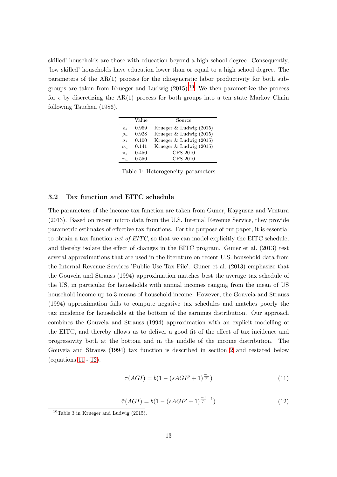skilled' households are those with education beyond a high school degree. Consequently, 'low skilled' households have education lower than or equal to a high school degree. The parameters of the AR(1) process for the idiosyncratic labor productivity for both subgroups are taken from Krueger and Ludwig  $(2015)^{10}$  We then parametrize the process for  $\epsilon$  by discretizing the AR(1) process for both groups into a ten state Markov Chain following Tauchen (1986).

|              | Value | Source                      |
|--------------|-------|-----------------------------|
| $\rho_s$     | 0.969 | Krueger $&$ Ludwig $(2015)$ |
| $\rho_u$     | 0.928 | Krueger & Ludwig (2015)     |
| $\sigma_{s}$ | 0.100 | Krueger & Ludwig (2015)     |
| $\sigma_{u}$ | 0.141 | Krueger & Ludwig (2015)     |
| $\pi_s$      | 0.450 | CPS 2010                    |
| $\pi_u$      | 0.550 | CPS 2010                    |

Table 1: Heterogeneity parameters

#### 3.2 Tax function and EITC schedule

÷

The parameters of the income tax function are taken from Guner, Kaygusuz and Ventura (2013). Based on recent micro data from the U.S. Internal Revenue Service, they provide parametric estimates of effective tax functions. For the purpose of our paper, it is essential to obtain a tax function net of EITC, so that we can model explicitly the EITC schedule, and thereby isolate the effect of changes in the EITC program. Guner et al. (2013) test several approximations that are used in the literature on recent U.S. household data from the Internal Revenue Services 'Public Use Tax File'. Guner et al. (2013) emphasize that the Gouveia and Strauss (1994) approximation matches best the average tax schedule of the US, in particular for households with annual incomes ranging from the mean of US household income up to 3 means of household income. However, the Gouveia and Strauss (1994) approximation fails to compute negative tax schedules and matches poorly the tax incidence for households at the bottom of the earnings distribution. Our approach combines the Gouveia and Strauss (1994) approximation with an explicit modelling of the EITC, and thereby allows us to deliver a good fit of the effect of tax incidence and progressivity both at the bottom and in the middle of the income distribution. The Gouveia and Strauss (1994) tax function is described in section [2](#page-5-0) and restated below (equations [11](#page-13-0) - [12\)](#page-13-1).

$$
\tau(AGI) = b(1 - (sAGI^{p} + 1)^{\frac{-1}{p}})
$$
\n(11)

 $\tilde{\tau}(AGI) = b(1 - (sAGI^{p} + 1)^{\frac{-1}{p} - 1})$ ) (12)

<span id="page-13-1"></span><span id="page-13-0"></span> $10$ Table 3 in Krueger and Ludwig (2015).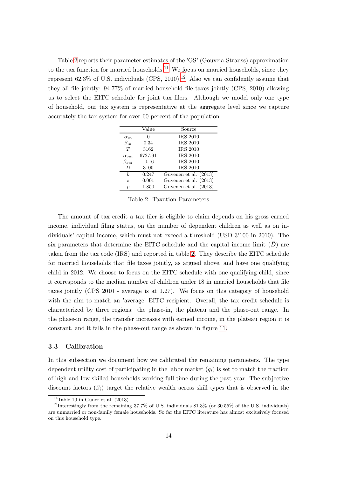<span id="page-14-0"></span>Table [2](#page-14-0) reports their parameter estimates of the 'GS' (Gouveia-Strauss) approximation to the tax function for married households.<sup>11</sup> We focus on married households, since they represent 62.3% of U.S. individuals (CPS, 2010).<sup>12</sup> Also we can confidently assume that they all file jointly: 94.77% of married household file taxes jointly (CPS, 2010) allowing us to select the EITC schedule for joint tax filers. Although we model only one type of household, our tax system is representative at the aggregate level since we capture accurately the tax system for over 60 percent of the population.

|                  | Value   | Source                |
|------------------|---------|-----------------------|
| $\alpha_{in}$    |         | <b>IRS 2010</b>       |
| $\beta_{in}$     | 0.34    | <b>IRS 2010</b>       |
| T                | 3162    | <b>IRS 2010</b>       |
| $\alpha_{out}$   | 6727.91 | <b>IRS 2010</b>       |
| $\beta_{out}$    | $-0.16$ | <b>IRS 2010</b>       |
| Đ                | 3100    | <b>IRS 2010</b>       |
| h                | 0.247   | Guvenen et al. (2013) |
| S                | 0.001   | Guvenen et al. (2013) |
| $\boldsymbol{p}$ | 1.850   | Guvenen et al. (2013) |

Table 2: Taxation Parameters

The amount of tax credit a tax filer is eligible to claim depends on his gross earned income, individual filing status, on the number of dependent children as well as on individuals' capital income, which must not exceed a threshold (USD 3'100 in 2010). The six parameters that determine the EITC schedule and the capital income limit  $(\bar{D})$  are taken from the tax code (IRS) and reported in table [2.](#page-14-0) They describe the EITC schedule for married households that file taxes jointly, as argued above, and have one qualifying child in 2012. We choose to focus on the EITC schedule with one qualifying child, since it corresponds to the median number of children under 18 in married households that file taxes jointly (CPS 2010 - average is at 1.27). We focus on this category of household with the aim to match an 'average' EITC recipient. Overall, the tax credit schedule is characterized by three regions: the phase-in, the plateau and the phase-out range. In the phase-in range, the transfer increases with earned income, in the plateau region it is constant, and it falls in the phase-out range as shown in figure [11.](#page-36-0)

#### 3.3 Calibration

In this subsection we document how we calibrated the remaining parameters. The type dependent utility cost of participating in the labor market  $(q_i)$  is set to match the fraction of high and low skilled households working full time during the past year. The subjective discount factors  $(\beta_i)$  target the relative wealth across skill types that is observed in the

<sup>&</sup>lt;sup>11</sup>Table 10 in Guner et al.  $(2013)$ .

<sup>&</sup>lt;sup>12</sup>Interestingly from the remaining 37.7% of U.S. individuals  $81.3\%$  (or  $30.55\%$  of the U.S. individuals) are unmarried or non-family female households. So far the EITC literature has almost exclusively focused on this household type.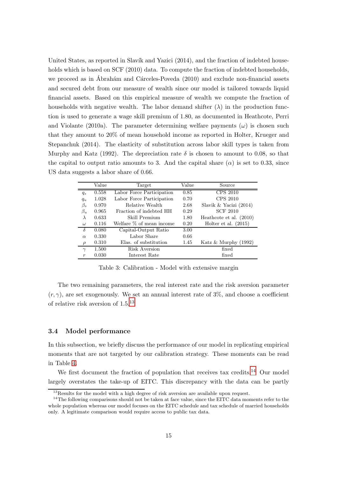United States, as reported in Slavík and Yazici  $(2014)$ , and the fraction of indebted households which is based on SCF (2010) data. To compute the fraction of indebted households, we proceed as in Ábrahám and Cárceles-Poveda (2010) and exclude non-financial assets and secured debt from our measure of wealth since our model is tailored towards liquid financial assets. Based on this empirical measure of wealth we compute the fraction of households with negative wealth. The labor demand shifter  $(\lambda)$  in the production function is used to generate a wage skill premium of 1.80, as documented in Heathcote, Perri and Violante (2010a). The parameter determining welfare payments  $(\omega)$  is chosen such that they amount to 20% of mean household income as reported in Holter, Krueger and Stepanchuk (2014). The elasticity of substitution across labor skill types is taken from Murphy and Katz (1992). The depreciation rate  $\delta$  is chosen to amount to 0.08, so that the capital to output ratio amounts to 3. And the capital share  $(\alpha)$  is set to 0.33, since US data suggests a labor share of 0.66.

|                  | Value | Target                                   | Value | Source                   |
|------------------|-------|------------------------------------------|-------|--------------------------|
| $q_s$            | 0.558 | Labor Force Participation                | 0.85  | <b>CPS 2010</b>          |
| $q_u$            | 1.028 | Labor Force Participation                | 0.70  | CPS 2010                 |
| $\beta_s$        | 0.970 | Relative Wealth                          | 2.68  | Slavik & Yacizi $(2014)$ |
| $\beta_u$        | 0.965 | Fraction of indebted HH                  | 0.29  | <b>SCF 2010</b>          |
| $\lambda$        | 0.633 | Skill Premium                            | 1.80  | Heathcote et al. (2010)  |
| $\omega$         | 0.116 | Welfare $\%$ of mean income              | 0.20  | Holter et al. $(2015)$   |
| $\delta$         | 0.080 | $\overline{\text{Capital-Output}}$ Ratio | 3.00  |                          |
| $\alpha$         | 0.330 | Labor Share                              | 0.66  |                          |
| $\rho$           | 0.310 | Elas. of substitution                    | 1.45  | Katz & Murphy $(1992)$   |
| $\gamma$         | 1.500 | Risk Aversion                            |       | fixed                    |
| $\boldsymbol{r}$ | 0.030 | Interest Rate                            |       | fixed                    |

Table 3: Calibration - Model with extensive margin

The two remaining parameters, the real interest rate and the risk aversion parameter  $(r, \gamma)$ , are set exogenously. We set an annual interest rate of 3\%, and choose a coefficient of relative risk aversion of 1.5.<sup>13</sup>

#### 3.4 Model performance

In this subsection, we briefly discuss the performance of our model in replicating empirical moments that are not targeted by our calibration strategy. These moments can be read in Table [4.](#page-16-0)

We first document the fraction of population that receives tax credits.<sup>14</sup> Our model largely overstates the take-up of EITC. This discrepancy with the data can be partly

<sup>&</sup>lt;sup>13</sup>Results for the model with a high degree of risk aversion are available upon request.

<sup>&</sup>lt;sup>14</sup>The following comparisons should not be taken at face value, since the EITC data moments refer to the whole population whereas our model focuses on the EITC schedule and tax schedule of married households only. A legitimate comparison would require access to public tax data.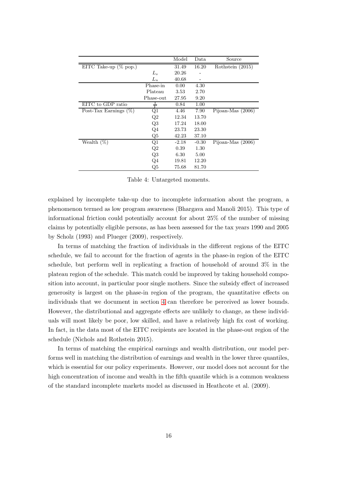<span id="page-16-0"></span>

|                          |                         | Model   | Data    | Source              |
|--------------------------|-------------------------|---------|---------|---------------------|
| EITC Take-up $(\%$ pop.) |                         | 31.49   | 16.20   | Rothstein (2015)    |
|                          | $L_s$                   | 20.26   |         |                     |
|                          | $L_u$                   | 40.68   |         |                     |
|                          | Phase-in                | 0.00    | 4.30    |                     |
|                          | Plateau                 | 3.53    | 2.70    |                     |
|                          | Phase-out               | 27.95   | 9.20    |                     |
| EITC to GDP ratio        | $\overline{\mathbf{v}}$ | 0.84    | 1.00    |                     |
| Post-Tax Earnings $(\%)$ | $_{\rm Q1}$             | 4.46    | 7.90    | Pijoan-Mas $(2006)$ |
|                          | Q2                      | 12.34   | 13.70   |                     |
|                          | Q3                      | 17.24   | 18.00   |                     |
|                          | $Q_4$                   | 23.73   | 23.30   |                     |
|                          | Q5                      | 42.23   | 37.10   |                     |
| Wealth $(\%)$            | Q1                      | $-2.18$ | $-0.30$ | Pijoan-Mas $(2006)$ |
|                          | Q2                      | 0.39    | 1.30    |                     |
|                          | Q3                      | 6.30    | 5.00    |                     |
|                          | $Q_4$                   | 19.81   | 12.20   |                     |
|                          | Q5                      | 75.68   | 81.70   |                     |

Table 4: Untargeted moments.

explained by incomplete take-up due to incomplete information about the program, a phenomenon termed as low program awareness (Bhargava and Manoli 2015). This type of informational friction could potentially account for about 25% of the number of missing claims by potentially eligible persons, as has been assessed for the tax years 1990 and 2005 by Scholz (1993) and Plueger (2009), respectively.

In terms of matching the fraction of individuals in the different regions of the EITC schedule, we fail to account for the fraction of agents in the phase-in region of the EITC schedule, but perform well in replicating a fraction of household of around 3% in the plateau region of the schedule. This match could be improved by taking household composition into account, in particular poor single mothers. Since the subsidy effect of increased generosity is largest on the phase-in region of the program, the quantitative effects on individuals that we document in section [4](#page-17-0) can therefore be perceived as lower bounds. However, the distributional and aggregate effects are unlikely to change, as these individuals will most likely be poor, low skilled, and have a relatively high fix cost of working. In fact, in the data most of the EITC recipients are located in the phase-out region of the schedule (Nichols and Rothstein 2015).

In terms of matching the empirical earnings and wealth distribution, our model performs well in matching the distribution of earnings and wealth in the lower three quantiles, which is essential for our policy experiments. However, our model does not account for the high concentration of income and wealth in the fifth quantile which is a common weakness of the standard incomplete markets model as discussed in Heathcote et al. (2009).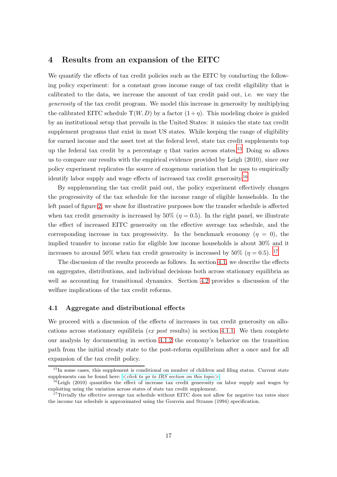### <span id="page-17-0"></span>4 Results from an expansion of the EITC

We quantify the effects of tax credit policies such as the EITC by conducting the following policy experiment: for a constant gross income range of tax credit eligibility that is calibrated to the data, we increase the amount of tax credit paid out, i.e. we vary the generosity of the tax credit program. We model this increase in generosity by multiplying the calibrated EITC schedule  $\Upsilon(W, D)$  by a factor  $(1 + \eta)$ . This modeling choice is guided by an institutional setup that prevails in the United States: it mimics the state tax credit supplement programs that exist in most US states. While keeping the range of eligibility for earned income and the asset test at the federal level, state tax credit supplements top up the federal tax credit by a percentage  $\eta$  that varies across states.<sup>15</sup> Doing so allows us to compare our results with the empirical evidence provided by Leigh (2010), since our policy experiment replicates the source of exogenous variation that he uses to empirically identify labor supply and wage effects of increased tax credit generosity.<sup>16</sup>

By supplementing the tax credit paid out, the policy experiment effectively changes the progressivity of the tax schedule for the income range of eligible households. In the left panel of figure [2,](#page-18-0) we show for illustrative purposes how the transfer schedule is affected when tax credit generosity is increased by  $50\%$  ( $\eta = 0.5$ ). In the right panel, we illustrate the effect of increased EITC generosity on the effective average tax schedule, and the corresponding increase in tax progressivity. In the benchmark economy  $(\eta = 0)$ , the implied transfer to income ratio for eligible low income households is about 30% and it increases to around 50% when tax credit generosity is increased by 50% ( $\eta = 0.5$ ). <sup>17</sup>

The discussion of the results proceeds as follows. In section [4.1,](#page-17-1) we describe the effects on aggregates, distributions, and individual decisions both across stationary equilibria as well as accounting for transitional dynamics. Section [4.2](#page-25-0) provides a discussion of the welfare implications of the tax credit reforms.

#### <span id="page-17-1"></span>4.1 Aggregate and distributional effects

We proceed with a discussion of the effects of increases in tax credit generosity on allo-cations across stationary equilibria (ex post results) in section [4.1.1.](#page-18-1) We then complete our analysis by documenting in section [4.1.2](#page-25-1) the economy's behavior on the transition path from the initial steady state to the post-reform equilibrium after a once and for all expansion of the tax credit policy.

<sup>&</sup>lt;sup>15</sup>In some cases, this supplement is conditional on number of children and filing status. Current state supplements can be found here:  $\langle \text{click to qo to IRS section on this topic} \rangle$ .

 $16$ Leigh (2010) quantifies the effect of increase tax credit generosity on labor supply and wages by exploiting using the variation across states of state tax credit supplement.

<sup>&</sup>lt;sup>17</sup>Trivially the effective average tax schedule without EITC does not allow for negative tax rates since the income tax schedule is approximated using the Gouveia and Strauss (1994) specification.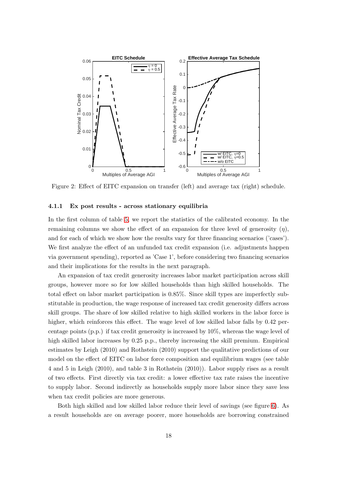<span id="page-18-0"></span>

Figure 2: Effect of EITC expansion on transfer (left) and average tax (right) schedule.

#### <span id="page-18-1"></span>4.1.1 Ex post results - across stationary equilibria

In the first column of table [5,](#page-19-0) we report the statistics of the calibrated economy. In the remaining columns we show the effect of an expansion for three level of generosity  $(\eta)$ , and for each of which we show how the results vary for three financing scenarios ('cases'). We first analyze the effect of an unfunded tax credit expansion (i.e. adjustments happen via government spending), reported as 'Case 1', before considering two financing scenarios and their implications for the results in the next paragraph.

An expansion of tax credit generosity increases labor market participation across skill groups, however more so for low skilled households than high skilled households. The total effect on labor market participation is 0.85%. Since skill types are imperfectly substitutable in production, the wage response of increased tax credit generosity differs across skill groups. The share of low skilled relative to high skilled workers in the labor force is higher, which reinforces this effect. The wage level of low skilled labor falls by 0.42 percentage points (p.p.) if tax credit generosity is increased by 10%, whereas the wage level of high skilled labor increases by 0.25 p.p., thereby increasing the skill premium. Empirical estimates by Leigh (2010) and Rothstein (2010) support the qualitative predictions of our model on the effect of EITC on labor force composition and equilibrium wages (see table 4 and 5 in Leigh (2010), and table 3 in Rothstein (2010)). Labor supply rises as a result of two effects. First directly via tax credit: a lower effective tax rate raises the incentive to supply labor. Second indirectly as households supply more labor since they save less when tax credit policies are more generous.

Both high skilled and low skilled labor reduce their level of savings (see figure [6\)](#page-24-0). As a result households are on average poorer, more households are borrowing constrained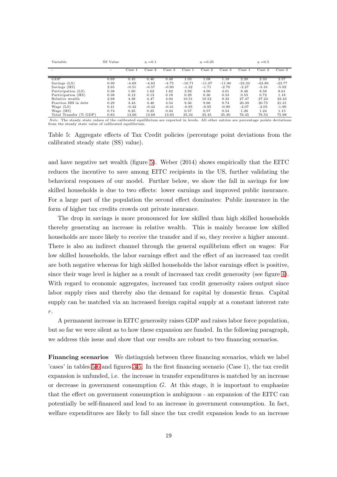<span id="page-19-0"></span>

| Variable               | SS Value |         | $\eta = 0.1$ |         |          | $\eta = 0.25$ |          |                 | $\eta = 0.5$ |                  |
|------------------------|----------|---------|--------------|---------|----------|---------------|----------|-----------------|--------------|------------------|
|                        |          | Case 1  | Case 2       | Case 3  | Case 1   | Case 2        | Case 3   | $\text{Case} 1$ | Case 2       | $\text{Case } 3$ |
| GDP                    | 0.69     | 0.45    | 0.46         | 0.48    | 1.03     | 1.08          | 1.18     | 2.20            | 2.33         | 2.57             |
| Savings (LS)           | 0.99     | $-4.69$ | $-4.83$      | $-4.75$ | $-10.71$ | $-11.07$      | $-11.00$ | $-23.33$        | $-23.89$     | $-23.77$         |
| Savings (HS)           | 2.65     | $-0.51$ | $-0.57$      | $-0.90$ | $-1.32$  | $-1.71$       | $-2.70$  | $-2.27$         | $-3.16$      | $-5.92$          |
| Participation (LS)     | 0.38     | 1.60    | 1.62         | 1.62    | 3.92     | 4.00          | 4.01     | 8.46            | 8.59         | 8.61             |
| Participation (HS)     | 0.38     | 0.12    | 0.13         | 0.18    | 0.29     | 0.36          | 0.53     | 0.55            | 0.72         | 1.18             |
| Relative wealth        | 2.68     | 4.38    | 4.47         | 4.04    | 10.51    | 10.52         | 9.33     | 27.47           | 27.23        | 23.43            |
| Fraction HH in debt.   | 0.29     | 3.43    | 3.46         | 3.54    | 9.36     | 9.66          | 9.74     | 20.39           | 20.75        | 21.31            |
| Wage $(LS)$            | 0.41     | $-0.42$ | $-0.42$      | $-0.41$ | $-0.95$  | $-0.95$       | $-0.90$  | $-2.07$         | $-2.05$      | $-1.90$          |
| Wage (HS)              | 0.74     | 0.25    | 0.25         | 0.24    | 0.57     | 0.57          | 0.54     | 1.26            | 1.24         | 1.15             |
| Total Transfer (% GDP) | 0.83     | 13.66   | 13.68        | 13.65   | 35.34    | 35.45         | 35.30    | 76.45           | 76.53        | 75.98            |

Note: The steady state values of the calibrated equilibrium are reported in levels. All other entries are percentage points deviations from the steady state value of calibrated equilibrium.

Table 5: Aggregate effects of Tax Credit policies (percentage point deviations from the calibrated steady state (SS) value).

and have negative net wealth (figure [5\)](#page-24-1). Weber (2014) shows empirically that the EITC reduces the incentive to save among EITC recipients in the US, further validating the behavioral responses of our model. Further below, we show the fall in savings for low skilled households is due to two effects: lower earnings and improved public insurance. For a large part of the population the second effect dominates: Public insurance in the form of higher tax credits crowds out private insurance.

The drop in savings is more pronounced for low skilled than high skilled households thereby generating an increase in relative wealth. This is mainly because low skilled households are more likely to receive the transfer and if so, they receive a higher amount. There is also an indirect channel through the general equilibrium effect on wages: For low skilled households, the labor earnings effect and the effect of an increased tax credit are both negative whereas for high skilled households the labor earnings effect is positive, since their wage level is higher as a result of increased tax credit generosity (see figure [4\)](#page-23-0). With regard to economic aggregates, increased tax credit generosity raises output since labor supply rises and thereby also the demand for capital by domestic firms. Capital supply can be matched via an increased foreign capital supply at a constant interest rate r.

A permanent increase in EITC generosity raises GDP and raises labor force population, but so far we were silent as to how these expansion are funded. In the following paragraph, we address this issue and show that our results are robust to two financing scenarios.

Financing scenarios We distinguish between three financing scenarios, which we label 'cases' in tables [5](#page-19-0)[-6](#page-20-0) and figures [3](#page-21-0)[-5.](#page-24-1) In the first financing scenario (Case 1), the tax credit expansion is unfunded, i.e. the increase in transfer expenditures is matched by an increase or decrease in government consumption  $G$ . At this stage, it is important to emphasize that the effect on government consumption is ambiguous - an expansion of the EITC can potentially be self-financed and lead to an increase in government consumption. In fact, welfare expenditures are likely to fall since the tax credit expansion leads to an increase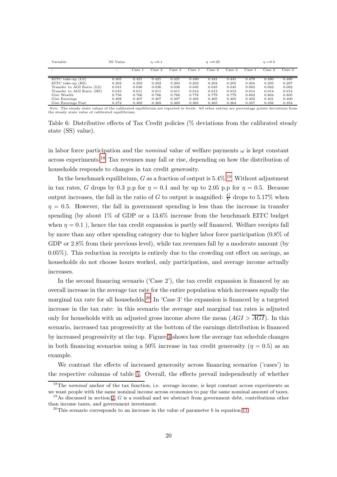<span id="page-20-0"></span>

| Variable                   | SS Value |        | $\eta = 0.1$ |              |        | $\eta = 0.25$ |              |               | $\eta = 0.5$ |        |
|----------------------------|----------|--------|--------------|--------------|--------|---------------|--------------|---------------|--------------|--------|
|                            |          | Case 1 | Case 2       | $\rm Case~3$ | Case 1 | Case 2        | $\rm Case~3$ | $\rm Case ~1$ | Case 2       | Case 3 |
| $EITC$ take-up $(LS)$      | 0.405    | 0.421  | 0.421        | 0.421        | 0.440  | 0.441         | 0.441        | 0.479         | 0.480        | 0.480  |
| EITC take-up (HS)          | 0.202    | 0.202  | 0.202        | 0.203        | 0.203  | 0.204         | 0.205        | 0.204         | 0.205        | 0.207  |
| Transfer to AGI Ratio (LS) | 0.031    | 0.036  | 0.036        | 0.036        | 0.045  | 0.045         | 0.045        | 0.062         | 0.062        | 0.062  |
| Transfer to AGI Ratio (HS) | 0.010    | 0.011  | 0.011        | 0.011        | 0.012  | 0.012         | 0.012        | 0.014         | 0.014        | 0.014  |
| Gini Wealth                | 0.756    | 0.766  | 0.766        | 0.766        | 0.778  | 0.779         | 0.779        | 0.802         | 0.804        | 0.805  |
| Gini Earnings              | 0.408    | 0.407  | 0.407        | 0.407        | 0.405  | 0.405         | 0.405        | 0.402         | 0.401        | 0.400  |
| Gini Earnings Post         | 0.372    | 0.369  | 0.369        | 0.369        | 0.365  | 0.365         | 0.364        | 0.357         | 0.356        | 0.354  |

Note: The steady state values of the calibrated equilibrium are reported in levels. All other entries are percentage points deviations from the steady state value of calibrated equilibrium.

Table 6: Distributive effects of Tax Credit policies (% deviations from the calibrated steady state (SS) value).

in labor force participation and the *nominal* value of welfare payments  $\omega$  is kept constant across experiments.<sup>18</sup> Tax revenues may fall or rise, depending on how the distribution of households responds to changes in tax credit generosity.

In the benchmark equilibrium, G as a fraction of output is  $5.4\%$ .<sup>19</sup> Without adjustment in tax rates, G drops by 0.3 p.p for  $\eta = 0.1$  and by up to 2.05 p.p for  $\eta = 0.5$ . Because output increases, the fall in the ratio of G to output is magnified:  $\frac{G}{Y}$  drops to 5.17% when  $\eta = 0.5$ . However, the fall in government spending is less than the increase in transfer spending (by about 1% of GDP or a 13.6% increase from the benchmark EITC budget when  $\eta = 0.1$ ), hence the tax credit expansion is partly self financed. Welfare receipts fall by more than any other spending category due to higher labor force participation (0.8% of GDP or 2.8% from their previous level), while tax revenues fall by a moderate amount (by 0.05%). This reduction in receipts is entirely due to the crowding out effect on savings, as households do not choose hours worked, only participation, and average income actually increases.

In the second financing scenario ('Case 2'), the tax credit expansion is financed by an overall increase in the average tax rate for the entire population which increases equally the marginal tax rate for all households.<sup>20</sup> In 'Case 3' the expansion is financed by a targeted increase in the tax rate: in this scenario the average and marginal tax rates is adjusted only for households with an adjusted gross income above the mean  $(AGI > AGI)$ . In this scenario, increased tax progressivity at the bottom of the earnings distribution is financed by increased progressivity at the top. Figure [3](#page-21-0) shows how the average tax schedule changes in both financing scenarios using a 50% increase in tax credit generosity ( $\eta = 0.5$ ) as an example.

We contrast the effects of increased generosity across financing scenarios ('cases') in the respective columns of table [5.](#page-19-0) Overall, the effects prevail independently of whether

<sup>&</sup>lt;sup>18</sup>The nominal anchor of the tax function, i.e. average income, is kept constant across experiments as we want people with the same nominal income across economies to pay the same nominal amount of taxes.  $19$ As discussed in section [2,](#page-5-0) G is a residual and we abstract from government debt, contributions other

than income taxes, and government investment.

<sup>&</sup>lt;sup>20</sup>This scenario corresponds to an increase in the value of parameter b in equation [11](#page-13-0)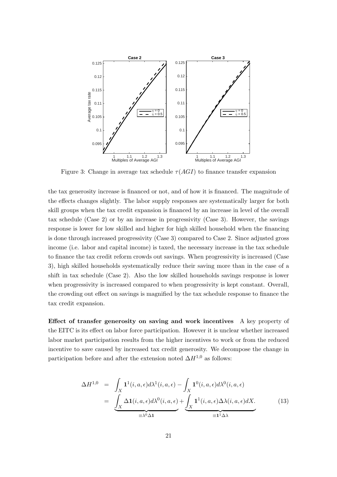<span id="page-21-0"></span>

Figure 3: Change in average tax schedule  $\tau(AGI)$  to finance transfer expansion

the tax generosity increase is financed or not, and of how it is financed. The magnitude of the effects changes slightly. The labor supply responses are systematically larger for both skill groups when the tax credit expansion is financed by an increase in level of the overall tax schedule (Case 2) or by an increase in progressivity (Case 3). However, the savings response is lower for low skilled and higher for high skilled household when the financing is done through increased progressivity (Case 3) compared to Case 2. Since adjusted gross income (i.e. labor and capital income) is taxed, the necessary increase in the tax schedule to finance the tax credit reform crowds out savings. When progressivity is increased (Case 3), high skilled households systematically reduce their saving more than in the case of a shift in tax schedule (Case 2). Also the low skilled households savings response is lower when progressivity is increased compared to when progressivity is kept constant. Overall, the crowding out effect on savings is magnified by the tax schedule response to finance the tax credit expansion.

Effect of transfer generosity on saving and work incentives A key property of the EITC is its effect on labor force participation. However it is unclear whether increased labor market participation results from the higher incentives to work or from the reduced incentive to save caused by increased tax credit generosity. We decompose the change in participation before and after the extension noted  $\Delta H^{1,0}$  as follows:

<span id="page-21-1"></span>
$$
\Delta H^{1,0} = \int_X \mathbf{1}^1(i, a, \epsilon) d\lambda^1(i, a, \epsilon) - \int_X \mathbf{1}^0(i, a, \epsilon) d\lambda^0(i, a, \epsilon)
$$
  
= 
$$
\underbrace{\int_X \Delta \mathbf{1}(i, a, \epsilon) d\lambda^0(i, a, \epsilon)}_{\equiv \lambda^0 \Delta \mathbf{1}} + \underbrace{\int_X \mathbf{1}^1(i, a, \epsilon) \Delta \lambda(i, a, \epsilon) dX}_{\equiv \mathbf{1}^1 \Delta \lambda}.
$$
 (13)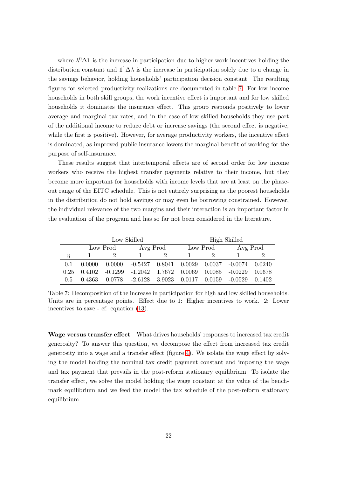where  $\lambda^0 \Delta \mathbf{1}$  is the increase in participation due to higher work incentives holding the distribution constant and  $1^1\Delta\lambda$  is the increase in participation solely due to a change in the savings behavior, holding households' participation decision constant. The resulting figures for selected productivity realizations are documented in table [7.](#page-22-0) For low income households in both skill groups, the work incentive effect is important and for low skilled households it dominates the insurance effect. This group responds positively to lower average and marginal tax rates, and in the case of low skilled households they use part of the additional income to reduce debt or increase savings (the second effect is negative, while the first is positive). However, for average productivity workers, the incentive effect is dominated, as improved public insurance lowers the marginal benefit of working for the purpose of self-insurance.

These results suggest that intertemporal effects are of second order for low income workers who receive the highest transfer payments relative to their income, but they become more important for households with income levels that are at least on the phaseout range of the EITC schedule. This is not entirely surprising as the poorest households in the distribution do not hold savings or may even be borrowing constrained. However, the individual relevance of the two margins and their interaction is an important factor in the evaluation of the program and has so far not been considered in the literature.

<span id="page-22-0"></span>

|        |                      |           | Low Skilled                                                      | High Skilled |          |          |           |          |
|--------|----------------------|-----------|------------------------------------------------------------------|--------------|----------|----------|-----------|----------|
|        | Avg Prod<br>Low Prod |           |                                                                  |              | Low Prod | Avg Prod |           |          |
| $\eta$ |                      |           |                                                                  |              |          |          |           |          |
| 0.1    | 0.0000               |           | $0.0000$ $-0.5427$ $0.8041$ $0.0029$ $0.0037$ $-0.0074$ $0.0240$ |              |          |          |           |          |
| 0.25   | 0.4102               | $-0.1299$ | -1.2042 1.7672                                                   |              | 0.0069   | 0.0085   | $-0.0229$ | - 0.0678 |
| 0.5    | 0.4363               |           | $0.0778$ $-2.6128$ $3.9023$ $0.0117$                             |              |          | 0.0159   | -0.0529   | 0.1402   |

Table 7: Decomposition of the increase in participation for high and low skilled households. Units are in percentage points. Effect due to 1: Higher incentives to work. 2: Lower incentives to save - cf. equation [\(13\)](#page-21-1).

Wage versus transfer effect What drives households' responses to increased tax credit generosity? To answer this question, we decompose the effect from increased tax credit generosity into a wage and a transfer effect (figure [4\)](#page-23-0). We isolate the wage effect by solving the model holding the nominal tax credit payment constant and imposing the wage and tax payment that prevails in the post-reform stationary equilibrium. To isolate the transfer effect, we solve the model holding the wage constant at the value of the benchmark equilibrium and we feed the model the tax schedule of the post-reform stationary equilibrium.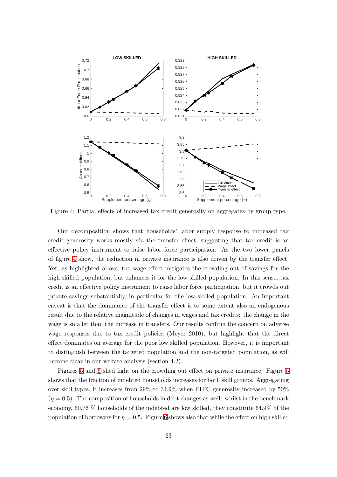<span id="page-23-0"></span>

Figure 4: Partial effects of increased tax credit generosity on aggregates by group type.

Our decomposition shows that households' labor supply response to increased tax credit generosity works mostly via the transfer effect, suggesting that tax credit is an effective policy instrument to raise labor force participation. As the two lower panels of figure [4](#page-23-0) show, the reduction in private insurance is also driven by the transfer effect. Yet, as highlighted above, the wage effect mitigates the crowding out of savings for the high skilled population, but enhances it for the low skilled population. In this sense, tax credit is an effective policy instrument to raise labor force participation, but it crowds out private savings substantially, in particular for the low skilled population. An important caveat is that the dominance of the transfer effect is to some extent also an endogenous result due to the relative magnitude of changes in wages and tax credits: the change in the wage is smaller than the increase in transfers. Our results confirm the concern on adverse wage responses due to tax credit policies (Meyer 2010), but highlight that the direct effect dominates on average for the poor low skilled population. However, it is important to distinguish between the targeted population and the non-targeted population, as will become clear in our welfare analysis (section [4.2\)](#page-25-0).

Figures [5](#page-24-1) and [6](#page-24-0) shed light on the crowding out effect on private insurance. Figure [5](#page-24-1) shows that the fraction of indebted households increases for both skill groups. Aggregating over skill types, it increases from 29% to 34.9% when EITC generosity increased by 50%  $(\eta = 0.5)$ . The composition of households in debt changes as well: whilst in the benchmark economy, 60.76 % households of the indebted are low skilled, they constitute 64.9% of the population of borrowers for  $\eta = 0.5$ . Figure [6](#page-24-0) shows also that while the effect on high skilled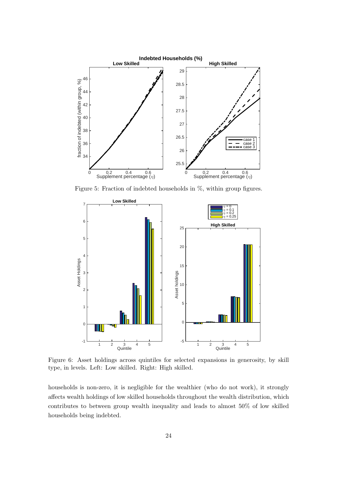<span id="page-24-1"></span>

Figure 5: Fraction of indebted households in %, within group figures.

<span id="page-24-0"></span>

Figure 6: Asset holdings across quintiles for selected expansions in generosity, by skill type, in levels. Left: Low skilled. Right: High skilled.

households is non-zero, it is negligible for the wealthier (who do not work), it strongly affects wealth holdings of low skilled households throughout the wealth distribution, which contributes to between group wealth inequality and leads to almost 50% of low skilled households being indebted.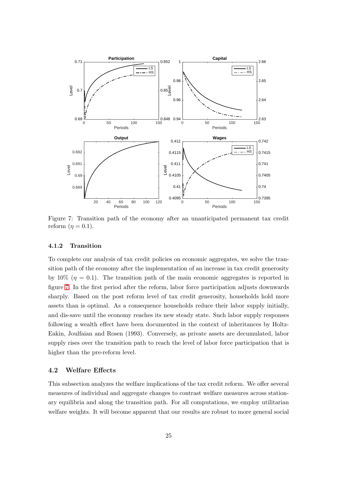<span id="page-25-2"></span>

Figure 7: Transition path of the economy after an unanticipated permanent tax credit reform  $(\eta = 0.1)$ .

#### <span id="page-25-1"></span>4.1.2 Transition

To complete our analysis of tax credit policies on economic aggregates, we solve the transition path of the economy after the implementation of an increase in tax credit generosity by 10%  $(\eta = 0.1)$ . The transition path of the main economic aggregates is reported in figure [7.](#page-25-2) In the first period after the reform, labor force participation adjusts downwards sharply. Based on the post reform level of tax credit generosity, households hold more assets than is optimal. As a consequence households reduce their labor supply initially, and dis-save until the economy reaches its new steady state. Such labor supply responses following a wealth effect have been documented in the context of inheritances by Holtz-Eakin, Joulfaian and Rosen (1993). Conversely, as private assets are decumulated, labor supply rises over the transition path to reach the level of labor force participation that is higher than the pre-reform level.

#### <span id="page-25-0"></span>4.2 Welfare Effects

This subsection analyzes the welfare implications of the tax credit reform. We offer several measures of individual and aggregate changes to contrast welfare measures across stationary equilibria and along the transition path. For all computations, we employ utilitarian welfare weights. It will become apparent that our results are robust to more general social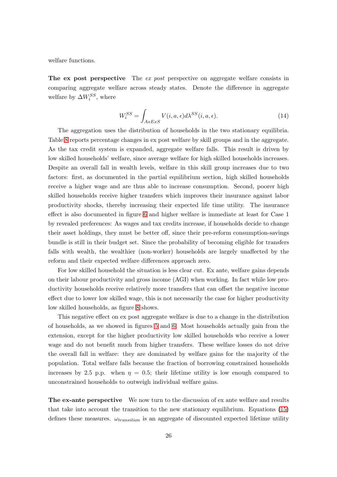welfare functions.

The ex post perspective The ex post perspective on aggregate welfare consists in comparing aggregate welfare across steady states. Denote the difference in aggregate welfare by  $\Delta W^{SS}_i$ , where

$$
W_i^{SS} = \int_{AxExS} V(i, a, \epsilon) d\lambda^{SS}(i, a, \epsilon).
$$
 (14)

The aggregation uses the distribution of households in the two stationary equilibria. Table [8](#page-28-0) reports percentage changes in ex post welfare by skill groups and in the aggregate. As the tax credit system is expanded, aggregate welfare falls. This result is driven by low skilled households' welfare, since average welfare for high skilled households increases. Despite an overall fall in wealth levels, welfare in this skill group increases due to two factors: first, as documented in the partial equilibrium section, high skilled households receive a higher wage and are thus able to increase consumption. Second, poorer high skilled households receive higher transfers which improves their insurance against labor productivity shocks, thereby increasing their expected life time utility. The insurance effect is also documented in figure [6](#page-24-0) and higher welfare is immediate at least for Case 1 by revealed preferences: As wages and tax credits increase, if households decide to change their asset holdings, they must be better off, since their pre-reform consumption-savings bundle is still in their budget set. Since the probability of becoming eligible for transfers falls with wealth, the wealthier (non-worker) households are largely unaffected by the reform and their expected welfare differences approach zero.

For low skilled household the situation is less clear cut. Ex ante, welfare gains depends on their labour productivity and gross income (AGI) when working. In fact while low productivity households receive relatively more transfers that can offset the negative income effect due to lower low skilled wage, this is not necessarily the case for higher productivity low skilled households, as figure [8](#page-27-0) shows.

This negative effect on ex post aggregate welfare is due to a change in the distribution of households, as we showed in figures [5](#page-24-1) and [6.](#page-24-0) Most households actually gain from the extension, except for the higher productivity low skilled households who receive a lower wage and do not benefit much from higher transfers. These welfare losses do not drive the overall fall in welfare: they are dominated by welfare gains for the majority of the population. Total welfare falls because the fraction of borrowing constrained households increases by 2.5 p.p. when  $\eta = 0.5$ ; their lifetime utility is low enough compared to unconstrained households to outweigh individual welfare gains.

The ex-ante perspective We now turn to the discussion of ex ante welfare and results that take into account the transition to the new stationary equilibrium. Equations [\(15\)](#page-27-1) defines these measures.  $\omega_{transition}$  is an aggregate of discounted expected lifetime utility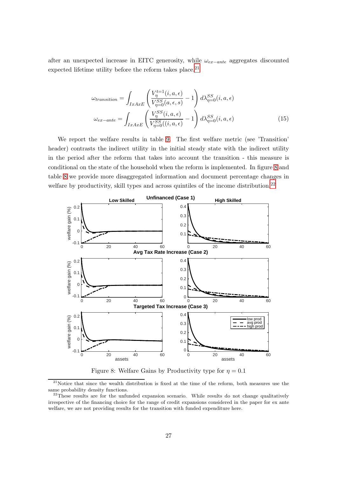after an unexpected increase in EITC generosity, while  $\omega_{ex-ante}$  aggregates discounted expected lifetime utility before the reform takes place. $^{21}$ 

<span id="page-27-1"></span>
$$
\omega_{transition} = \int_{IxAxE} \left( \frac{V_{\eta}^{t=1}(i, a, \epsilon)}{V_{\eta=0}^{SS}(a, \epsilon, s)} - 1 \right) d\lambda_{\eta=0}^{SS}(i, a, \epsilon)
$$

$$
\omega_{ex-ante} = \int_{IxAxE} \left( \frac{V_{\eta}^{SS}(i, a, \epsilon)}{V_{\eta=0}^{SS}(i, a, \epsilon)} - 1 \right) d\lambda_{\eta=0}^{SS}(i, a, \epsilon)
$$
(15)

We report the welfare results in table [9.](#page-29-0) The first welfare metric (see 'Transition' header) contrasts the indirect utility in the initial steady state with the indirect utility in the period after the reform that takes into account the transition - this measure is conditional on the state of the household when the reform is implemented. In figure [8](#page-27-0) and table [8](#page-28-0) we provide more disaggregated information and document percentage changes in welfare by productivity, skill types and across quintiles of the income distribution.<sup>22</sup>

<span id="page-27-0"></span>

Figure 8: Welfare Gains by Productivity type for  $\eta = 0.1$ 

 $21$ Notice that since the wealth distribution is fixed at the time of the reform, both measures use the same probability density functions.

 $^{22}$ These results are for the unfunded expansion scenario. While results do not change qualitatively irrespective of the financing choice for the range of credit expansions considered in the paper for ex ante welfare, we are not providing results for the transition with funded expenditure here.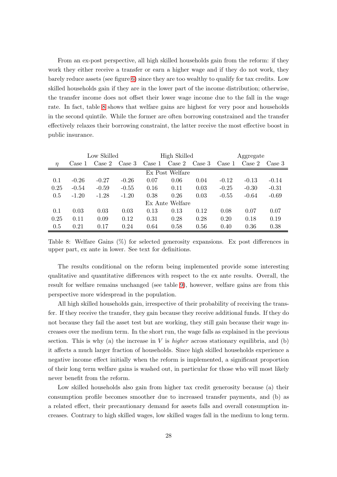From an ex-post perspective, all high skilled households gain from the reform: if they work they either receive a transfer or earn a higher wage and if they do not work, they barely reduce assets (see figure [6\)](#page-24-0) since they are too wealthy to qualify for tax credits. Low skilled households gain if they are in the lower part of the income distribution; otherwise, the transfer income does not offset their lower wage income due to the fall in the wage rate. In fact, table [8](#page-28-0) shows that welfare gains are highest for very poor and households in the second quintile. While the former are often borrowing constrained and the transfer effectively relaxes their borrowing constraint, the latter receive the most effective boost in public insurance.

<span id="page-28-0"></span>

|        |         | Low Skilled     |         |                 | High Skilled    |        | Aggregate       |         |         |
|--------|---------|-----------------|---------|-----------------|-----------------|--------|-----------------|---------|---------|
| $\eta$ | Case 1  | $\text{Case} 2$ | Case 3  | $\text{Case} 1$ | $\text{Case} 2$ | Case 3 | $\text{Case} 1$ | Case 2  | Case 3  |
|        |         |                 |         |                 | Ex Post Welfare |        |                 |         |         |
| 0.1    | $-0.26$ | $-0.27$         | $-0.26$ | 0.07            | 0.06            | 0.04   | $-0.12$         | $-0.13$ | $-0.14$ |
| 0.25   | $-0.54$ | $-0.59$         | $-0.55$ | 0.16            | 0.11            | 0.03   | $-0.25$         | $-0.30$ | $-0.31$ |
| 0.5    | $-1.20$ | $-1.28$         | $-1.20$ | 0.38            | 0.26            | 0.03   | $-0.55$         | $-0.64$ | $-0.69$ |
|        |         |                 |         |                 | Ex Ante Welfare |        |                 |         |         |
| 0.1    | 0.03    | 0.03            | 0.03    | 0.13            | 0.13            | 0.12   | 0.08            | 0.07    | 0.07    |
| 0.25   | 0.11    | 0.09            | 0.12    | 0.31            | 0.28            | 0.28   | 0.20            | 0.18    | 0.19    |
| 0.5    | 0.21    | 0.17            | 0.24    | 0.64            | 0.58            | 0.56   | 0.40            | 0.36    | 0.38    |

Table 8: Welfare Gains (%) for selected generosity expansions. Ex post differences in upper part, ex ante in lower. See text for definitions.

The results conditional on the reform being implemented provide some interesting qualitative and quantitative differences with respect to the ex ante results. Overall, the result for welfare remains unchanged (see table [9\)](#page-29-0), however, welfare gains are from this perspective more widespread in the population.

All high skilled households gain, irrespective of their probability of receiving the transfer. If they receive the transfer, they gain because they receive additional funds. If they do not because they fail the asset test but are working, they still gain because their wage increases over the medium term. In the short run, the wage falls as explained in the previous section. This is why (a) the increase in V is *higher* across stationary equilibria, and (b) it affects a much larger fraction of households. Since high skilled households experience a negative income effect initially when the reform is implemented, a significant proportion of their long term welfare gains is washed out, in particular for those who will most likely never benefit from the reform.

Low skilled households also gain from higher tax credit generosity because (a) their consumption profile becomes smoother due to increased transfer payments, and (b) as a related effect, their precautionary demand for assets falls and overall consumption increases. Contrary to high skilled wages, low skilled wages fall in the medium to long term.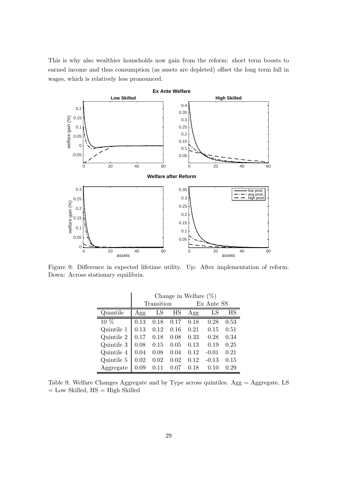This is why also wealthier households now gain from the reform: short term boosts to earned income and thus consumption (as assets are depleted) offset the long term fall in wages, which is relatively less pronounced.



<span id="page-29-0"></span>Figure 9: Difference in expected lifetime utility. Up: After implementation of reform. Down: Across stationary equilibria.

|                   | Change in Welfare $(\%)$ |            |      |            |             |      |  |  |  |  |
|-------------------|--------------------------|------------|------|------------|-------------|------|--|--|--|--|
|                   |                          | Transition |      | Ex Ante SS |             |      |  |  |  |  |
| Quantile          | Agg                      | LS         | HS   | Agg        | $_{\rm LS}$ | ΗS   |  |  |  |  |
| $\overline{10}$ % | 0.13                     | 0.18       | 0.17 | 0.18       | 0.28        | 0.53 |  |  |  |  |
| Quintile 1        | 0.13                     | 0.12       | 0.16 | 0.21       | 0.15        | 0.51 |  |  |  |  |
| Quintile 2        | 0.17                     | 0.18       | 0.08 | 0.33       | 0.28        | 0.34 |  |  |  |  |
| Quintile 3        | 0.08                     | 0.15       | 0.05 | 0.13       | 0.19        | 0.25 |  |  |  |  |
| Quintile 4        | 0.04                     | 0.08       | 0.04 | 0.12       | $-0.01$     | 0.21 |  |  |  |  |
| Quintile 5        | 0.02                     | 0.02       | 0.02 | 0.12       | $-0.13$     | 0.15 |  |  |  |  |
| Aggregate         | 0.09                     | 0.11       | 0.07 | 0.18       | 0.10        | 0.29 |  |  |  |  |

Table 9: Welfare Changes Aggregate and by Type across quintiles. Agg = Aggregate, LS  $=$  Low Skilled,  $HS = High$  Skilled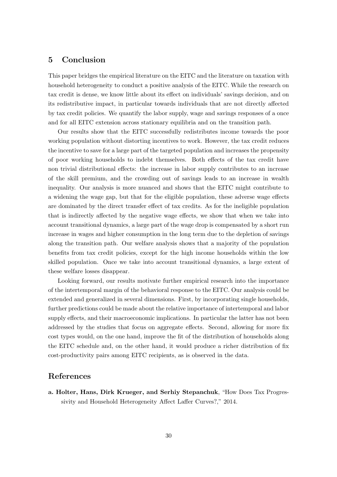## <span id="page-30-0"></span>5 Conclusion

This paper bridges the empirical literature on the EITC and the literature on taxation with household heterogeneity to conduct a positive analysis of the EITC. While the research on tax credit is dense, we know little about its effect on individuals' savings decision, and on its redistributive impact, in particular towards individuals that are not directly affected by tax credit policies. We quantify the labor supply, wage and savings responses of a once and for all EITC extension across stationary equilibria and on the transition path.

Our results show that the EITC successfully redistributes income towards the poor working population without distorting incentives to work. However, the tax credit reduces the incentive to save for a large part of the targeted population and increases the propensity of poor working households to indebt themselves. Both effects of the tax credit have non trivial distributional effects: the increase in labor supply contributes to an increase of the skill premium, and the crowding out of savings leads to an increase in wealth inequality. Our analysis is more nuanced and shows that the EITC might contribute to a widening the wage gap, but that for the eligible population, these adverse wage effects are dominated by the direct transfer effect of tax credits. As for the ineligible population that is indirectly affected by the negative wage effects, we show that when we take into account transitional dynamics, a large part of the wage drop is compensated by a short run increase in wages and higher consumption in the long term due to the depletion of savings along the transition path. Our welfare analysis shows that a majority of the population benefits from tax credit policies, except for the high income households within the low skilled population. Once we take into account transitional dynamics, a large extent of these welfare losses disappear.

Looking forward, our results motivate further empirical research into the importance of the intertemporal margin of the behavioral response to the EITC. Our analysis could be extended and generalized in several dimensions. First, by incorporating single households, further predictions could be made about the relative importance of intertemporal and labor supply effects, and their macroeconomic implications. In particular the latter has not been addressed by the studies that focus on aggregate effects. Second, allowing for more fix cost types would, on the one hand, improve the fit of the distribution of households along the EITC schedule and, on the other hand, it would produce a richer distribution of fix cost-productivity pairs among EITC recipients, as is observed in the data.

# References

a. Holter, Hans, Dirk Krueger, and Serhiy Stepanchuk, "How Does Tax Progressivity and Household Heterogeneity Affect Laffer Curves?," 2014.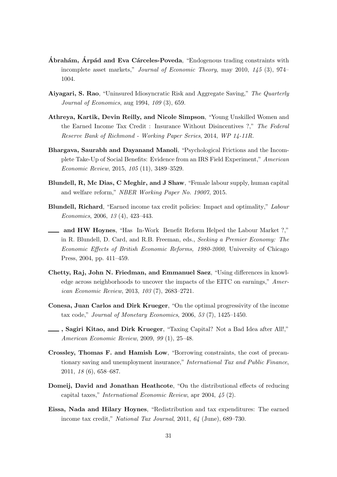- $\acute{A}$ brahám,  $\acute{A}$ rpád and Eva Cárceles-Poveda, "Endogenous trading constraints with incomplete asset markets," Journal of Economic Theory, may 2010, 145 (3), 974– 1004.
- Aiyagari, S. Rao, "Uninsured Idiosyncratic Risk and Aggregate Saving," The Quarterly Journal of Economics, aug 1994, 109 (3), 659.
- Athreya, Kartik, Devin Reilly, and Nicole Simpson, "Young Unskilled Women and the Earned Income Tax Credit : Insurance Without Disincentives ?," The Federal Reserve Bank of Richmond - Working Paper Series, 2014, WP 14-11R.
- Bhargava, Saurabh and Dayanand Manoli, "Psychological Frictions and the Incomplete Take-Up of Social Benefits: Evidence from an IRS Field Experiment," American Economic Review, 2015, 105 (11), 3489–3529.
- Blundell, R, Mc Dias, C Meghir, and J Shaw, "Female labour supply, human capital and welfare reform," NBER Working Paper No. 19007, 2015.
- Blundell, Richard, "Earned income tax credit policies: Impact and optimality," Labour Economics, 2006, 13 (4), 423–443.
- and HW Hoynes, "Has In-Work Benefit Reform Helped the Labour Market ?," in R. Blundell, D. Card, and R.B. Freeman, eds., Seeking a Premier Economy: The Economic Effects of British Economic Reforms, 1980-2000, University of Chicago Press, 2004, pp. 411–459.
- Chetty, Raj, John N. Friedman, and Emmanuel Saez, "Using differences in knowledge across neighborhoods to uncover the impacts of the EITC on earnings," American Economic Review, 2013, 103 (7), 2683–2721.
- Conesa, Juan Carlos and Dirk Krueger, "On the optimal progressivity of the income tax code," Journal of Monetary Economics, 2006, 53 (7), 1425–1450.
- , Sagiri Kitao, and Dirk Krueger, "Taxing Capital? Not a Bad Idea after All!," American Economic Review, 2009, 99 (1), 25–48.
- Crossley, Thomas F. and Hamish Low, "Borrowing constraints, the cost of precautionary saving and unemployment insurance," International Tax and Public Finance, 2011, 18 (6), 658–687.
- Domeij, David and Jonathan Heathcote, "On the distributional effects of reducing capital taxes," International Economic Review, apr 2004, 45 (2).
- Eissa, Nada and Hilary Hoynes, "Redistribution and tax expenditures: The earned income tax credit," National Tax Journal, 2011, 64 (June), 689–730.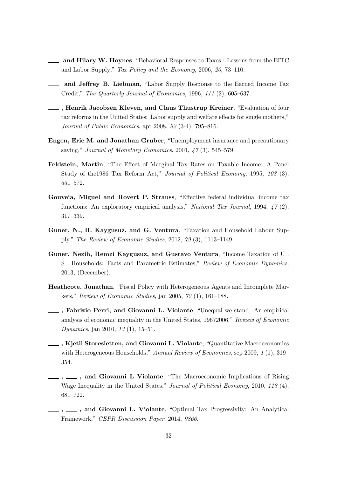- and Hilary W. Hoynes, "Behavioral Responses to Taxes : Lessons from the EITC and Labor Supply," Tax Policy and the Economy, 2006, 20, 73–110.
- and Jeffrey B. Liebman, "Labor Supply Response to the Earned Income Tax Credit," The Quarterly Journal of Economics, 1996, 111 (2), 605–637.
- , Henrik Jacobsen Kleven, and Claus Thustrup Kreiner, "Evaluation of four tax reforms in the United States: Labor supply and welfare effects for single mothers," Journal of Public Economics, apr 2008, 92 (3-4), 795–816.
- Engen, Eric M. and Jonathan Gruber, "Unemployment insurance and precautionary saving," Journal of Monetary Economics, 2001,  $47(3)$ , 545–579.
- Feldstein, Martin, "The Effect of Marginal Tax Rates on Taxable Income: A Panel Study of the1986 Tax Reform Act," Journal of Political Economy, 1995, 103 (3), 551–572.
- Gouveia, Miguel and Rovert P. Strauss, "Effective federal individual income tax functions: An exploratory empirical analysis," National Tax Journal, 1994, 47 (2), 317–339.
- Guner, N., R. Kaygusuz, and G. Ventura, "Taxation and Household Labour Supply," The Review of Economic Studies, 2012, 79 (3), 1113–1149.
- Guner, Nezih, Remzi Kaygusuz, and Gustavo Ventura, "Income Taxation of U . S . Households: Facts and Parametric Estimates," Review of Economic Dynamics, 2013, (December).
- Heathcote, Jonathan, "Fiscal Policy with Heterogeneous Agents and Incomplete Markets," Review of Economic Studies, jan 2005, 72 (1), 161–188.
- , Fabrizio Perri, and Giovanni L. Violante, "Unequal we stand: An empirical analysis of economic inequality in the United States, 19672006," Review of Economic Dynamics, jan 2010, 13 (1), 15–51.
- , Kjetil Storesletten, and Giovanni L. Violante, "Quantitative Macroeconomics with Heterogeneous Households," Annual Review of Economics, sep 2009, 1 (1), 319– 354.
- <sub>-1</sub>, <sub>1</sub>, and Giovanni L Violante, "The Macroeconomic Implications of Rising Wage Inequality in the United States," Journal of Political Economy, 2010, 118 (4), 681–722.
- , , and Giovanni L. Violante, "Optimal Tax Progressivity: An Analytical Framework," CEPR Discussion Paper, 2014, 9866.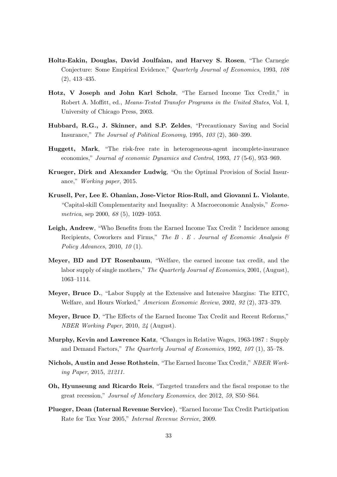- Holtz-Eakin, Douglas, David Joulfaian, and Harvey S. Rosen, "The Carnegie Conjecture: Some Empirical Evidence," Quarterly Journal of Economics, 1993, 108 (2), 413–435.
- Hotz, V Joseph and John Karl Scholz, "The Earned Income Tax Credit," in Robert A. Moffitt, ed., Means-Tested Transfer Programs in the United States, Vol. I, University of Chicago Press, 2003.
- Hubbard, R.G., J. Skinner, and S.P. Zeldes, "Precautionary Saving and Social Insurance," The Journal of Political Economy, 1995, 103 (2), 360–399.
- Huggett, Mark, "The risk-free rate in heterogeneous-agent incomplete-insurance economies," Journal of economic Dynamics and Control, 1993, 17 (5-6), 953–969.
- Krueger, Dirk and Alexander Ludwig, "On the Optimal Provision of Social Insurance," Working paper, 2015.
- Krusell, Per, Lee E. Ohanian, Jose-Victor Rios-Rull, and Giovanni L. Violante, "Capital-skill Complementarity and Inequality: A Macroeconomic Analysis," Econometrica, sep 2000, 68 (5), 1029–1053.
- Leigh, Andrew, "Who Benefits from the Earned Income Tax Credit ? Incidence among Recipients, Coworkers and Firms," The  $B$ . E. Journal of Economic Analysis  $\mathcal{B}$ Policy Advances, 2010, 10 (1).
- Meyer, BD and DT Rosenbaum, "Welfare, the earned income tax credit, and the labor supply of single mothers," The Quarterly Journal of Economics, 2001, (August), 1063–1114.
- Meyer, Bruce D., "Labor Supply at the Extensive and Intensive Margins: The EITC, Welfare, and Hours Worked," American Economic Review, 2002, 92 (2), 373–379.
- Meyer, Bruce D, "The Effects of the Earned Income Tax Credit and Recent Reforms," NBER Working Paper, 2010, 24 (August).
- Murphy, Kevin and Lawrence Katz, "Changes in Relative Wages, 1963-1987 : Supply and Demand Factors," The Quarterly Journal of Economics, 1992, 107 (1), 35–78.
- Nichols, Austin and Jesse Rothstein, "The Earned Income Tax Credit," NBER Working Paper, 2015, 21211.
- Oh, Hyunseung and Ricardo Reis, "Targeted transfers and the fiscal response to the great recession," Journal of Monetary Economics, dec 2012, 59, S50–S64.
- Plueger, Dean (Internal Revenue Service), "Earned Income Tax Credit Participation Rate for Tax Year 2005," Internal Revenue Service, 2009.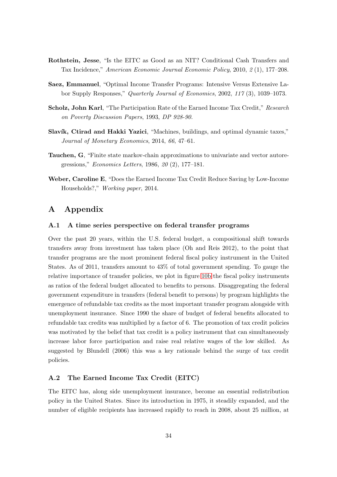- Rothstein, Jesse, "Is the EITC as Good as an NIT? Conditional Cash Transfers and Tax Incidence," American Economic Journal Economic Policy, 2010, 2 (1), 177–208.
- Saez, Emmanuel, "Optimal Income Transfer Programs: Intensive Versus Extensive Labor Supply Responses," Quarterly Journal of Economics, 2002, 117 (3), 1039–1073.
- Scholz, John Karl, "The Participation Rate of the Earned Income Tax Credit," Research on Poverty Discussion Papers, 1993, DP 928-90.
- Slavík, Ctirad and Hakki Yazici, "Machines, buildings, and optimal dynamic taxes," Journal of Monetary Economics, 2014, 66, 47–61.
- Tauchen, G, "Finite state markov-chain approximations to univariate and vector autoregressions," Economics Letters, 1986, 20 (2), 177–181.
- Weber, Caroline E, "Does the Earned Income Tax Credit Reduce Saving by Low-Income Households?," Working paper, 2014.

### A Appendix

#### A.1 A time series perspective on federal transfer programs

Over the past 20 years, within the U.S. federal budget, a compositional shift towards transfers away from investment has taken place (Oh and Reis 2012), to the point that transfer programs are the most prominent federal fiscal policy instrument in the United States. As of 2011, transfers amount to 43% of total government spending. To gauge the relative importance of transfer policies, we plot in figure [10b](#page-35-0) the fiscal policy instruments as ratios of the federal budget allocated to benefits to persons. Disaggregating the federal government expenditure in transfers (federal benefit to persons) by program highlights the emergence of refundable tax credits as the most important transfer program alongside with unemployment insurance. Since 1990 the share of budget of federal benefits allocated to refundable tax credits was multiplied by a factor of 6. The promotion of tax credit policies was motivated by the belief that tax credit is a policy instrument that can simultaneously increase labor force participation and raise real relative wages of the low skilled. As suggested by Blundell (2006) this was a key rationale behind the surge of tax credit policies.

#### A.2 The Earned Income Tax Credit (EITC)

The EITC has, along side unemployment insurance, become an essential redistribution policy in the United States. Since its introduction in 1975, it steadily expanded, and the number of eligible recipients has increased rapidly to reach in 2008, about 25 million, at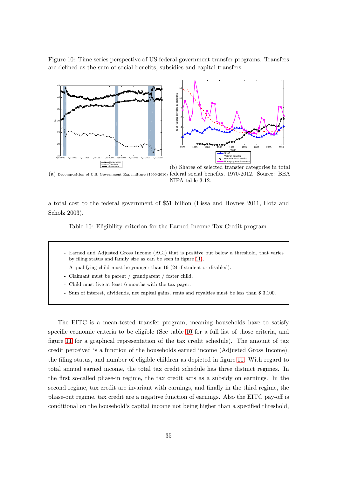<span id="page-35-0"></span>Figure 10: Time series perspective of US federal government transfer programs. Transfers are defined as the sum of social benefits, subsidies and capital transfers.



(a) Decomposition of U.S. Government Expenditure (1990-2010) federal social benefits, 1970-2012. Source: BEA NIPA table 3.12.

<span id="page-35-1"></span>a total cost to the federal government of \$51 billion (Eissa and Hoynes 2011, Hotz and Scholz 2003).

Table 10: Eligibility criterion for the Earned Income Tax Credit program

- Earned and Adjusted Gross Income (AGI) that is positive but below a threshold, that varies by filing status and family size as can be seen in figure [11\)](#page-36-0).
- A qualifying child must be younger than 19 (24 if student or disabled).
- Claimant must be parent / grandparent / foster child.
- Child must live at least 6 months with the tax payer.
- Sum of interest, dividends, net capital gains, rents and royalties must be less than \$ 3,100.

The EITC is a mean-tested transfer program, meaning households have to satisfy specific economic criteria to be eligible (See table [10](#page-35-1) for a full list of those criteria, and figure [11](#page-36-0) for a graphical representation of the tax credit schedule). The amount of tax credit perceived is a function of the households earned income (Adjusted Gross Income), the filing status, and number of eligible children as depicted in figure [11.](#page-36-0) With regard to total annual earned income, the total tax credit schedule has three distinct regimes. In the first so-called phase-in regime, the tax credit acts as a subsidy on earnings. In the second regime, tax credit are invariant with earnings, and finally in the third regime, the phase-out regime, tax credit are a negative function of earnings. Also the EITC pay-off is conditional on the household's capital income not being higher than a specified threshold,